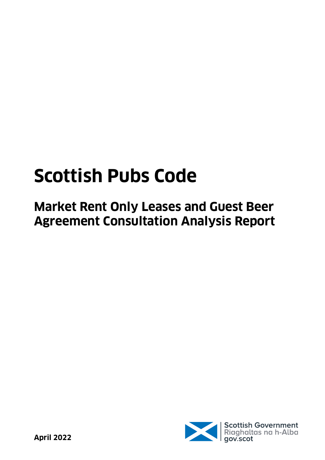# **Scottish Pubs Code**

**Market Rent Only Leases and Guest Beer Agreement Consultation Analysis Report**

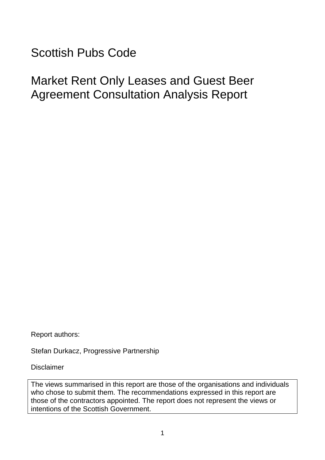<span id="page-1-0"></span>Scottish Pubs Code

Market Rent Only Leases and Guest Beer Agreement Consultation Analysis Report

Report authors:

Stefan Durkacz, Progressive Partnership

Disclaimer

The views summarised in this report are those of the organisations and individuals who chose to submit them. The recommendations expressed in this report are those of the contractors appointed. The report does not represent the views or intentions of the Scottish Government.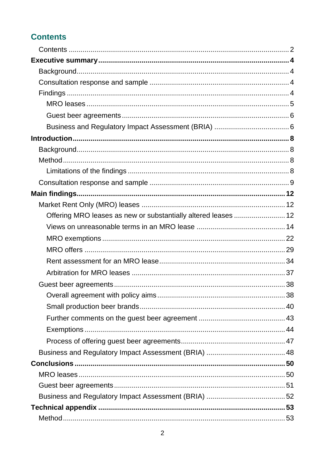# **Contents**

| Offering MRO leases as new or substantially altered leases  12 |  |
|----------------------------------------------------------------|--|
|                                                                |  |
|                                                                |  |
|                                                                |  |
|                                                                |  |
|                                                                |  |
|                                                                |  |
|                                                                |  |
|                                                                |  |
|                                                                |  |
|                                                                |  |
|                                                                |  |
|                                                                |  |
|                                                                |  |
|                                                                |  |
|                                                                |  |
|                                                                |  |
|                                                                |  |
|                                                                |  |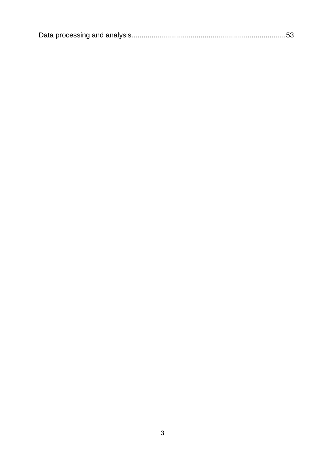|--|--|--|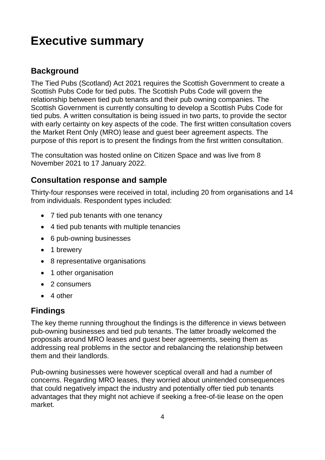# <span id="page-4-0"></span>**Executive summary**

### <span id="page-4-1"></span>**Background**

The Tied Pubs (Scotland) Act 2021 requires the Scottish Government to create a Scottish Pubs Code for tied pubs. The Scottish Pubs Code will govern the relationship between tied pub tenants and their pub owning companies. The Scottish Government is currently consulting to develop a Scottish Pubs Code for tied pubs. A written consultation is being issued in two parts, to provide the sector with early certainty on key aspects of the code. The first written consultation covers the Market Rent Only (MRO) lease and guest beer agreement aspects. The purpose of this report is to present the findings from the first written consultation.

The consultation was hosted online on Citizen Space and was live from 8 November 2021 to 17 January 2022.

### <span id="page-4-2"></span>**Consultation response and sample**

Thirty-four responses were received in total, including 20 from organisations and 14 from individuals. Respondent types included:

- 7 tied pub tenants with one tenancy
- 4 tied pub tenants with multiple tenancies
- 6 pub-owning businesses
- 1 brewery
- 8 representative organisations
- 1 other organisation
- 2 consumers
- 4 other

### <span id="page-4-3"></span>**Findings**

The key theme running throughout the findings is the difference in views between pub-owning businesses and tied pub tenants. The latter broadly welcomed the proposals around MRO leases and guest beer agreements, seeing them as addressing real problems in the sector and rebalancing the relationship between them and their landlords.

Pub-owning businesses were however sceptical overall and had a number of concerns. Regarding MRO leases, they worried about unintended consequences that could negatively impact the industry and potentially offer tied pub tenants advantages that they might not achieve if seeking a free-of-tie lease on the open market.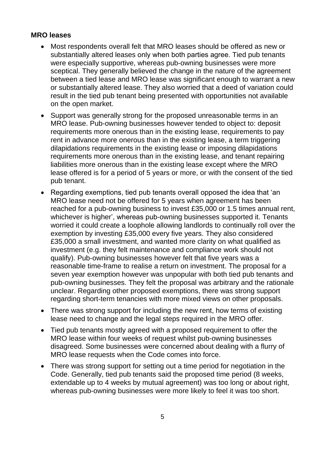#### <span id="page-5-0"></span>**MRO leases**

- Most respondents overall felt that MRO leases should be offered as new or substantially altered leases only when both parties agree. Tied pub tenants were especially supportive, whereas pub-owning businesses were more sceptical. They generally believed the change in the nature of the agreement between a tied lease and MRO lease was significant enough to warrant a new or substantially altered lease. They also worried that a deed of variation could result in the tied pub tenant being presented with opportunities not available on the open market.
- Support was generally strong for the proposed unreasonable terms in an MRO lease. Pub-owning businesses however tended to object to: deposit requirements more onerous than in the existing lease, requirements to pay rent in advance more onerous than in the existing lease, a term triggering dilapidations requirements in the existing lease or imposing dilapidations requirements more onerous than in the existing lease, and tenant repairing liabilities more onerous than in the existing lease except where the MRO lease offered is for a period of 5 years or more, or with the consent of the tied pub tenant.
- Regarding exemptions, tied pub tenants overall opposed the idea that 'an MRO lease need not be offered for 5 years when agreement has been reached for a pub-owning business to invest £35,000 or 1.5 times annual rent, whichever is higher', whereas pub-owning businesses supported it. Tenants worried it could create a loophole allowing landlords to continually roll over the exemption by investing £35,000 every five years. They also considered £35,000 a small investment, and wanted more clarity on what qualified as investment (e.g. they felt maintenance and compliance work should not qualify). Pub-owning businesses however felt that five years was a reasonable time-frame to realise a return on investment. The proposal for a seven year exemption however was unpopular with both tied pub tenants and pub-owning businesses. They felt the proposal was arbitrary and the rationale unclear. Regarding other proposed exemptions, there was strong support regarding short-term tenancies with more mixed views on other proposals.
- There was strong support for including the new rent, how terms of existing lease need to change and the legal steps required in the MRO offer.
- Tied pub tenants mostly agreed with a proposed requirement to offer the MRO lease within four weeks of request whilst pub-owning businesses disagreed. Some businesses were concerned about dealing with a flurry of MRO lease requests when the Code comes into force.
- There was strong support for setting out a time period for negotiation in the Code. Generally, tied pub tenants said the proposed time period (8 weeks, extendable up to 4 weeks by mutual agreement) was too long or about right, whereas pub-owning businesses were more likely to feel it was too short.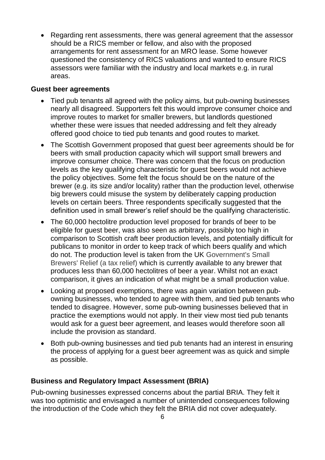• Regarding rent assessments, there was general agreement that the assessor should be a RICS member or fellow, and also with the proposed arrangements for rent assessment for an MRO lease. Some however questioned the consistency of RICS valuations and wanted to ensure RICS assessors were familiar with the industry and local markets e.g. in rural areas.

#### <span id="page-6-0"></span>**Guest beer agreements**

- Tied pub tenants all agreed with the policy aims, but pub-owning businesses nearly all disagreed. Supporters felt this would improve consumer choice and improve routes to market for smaller brewers, but landlords questioned whether these were issues that needed addressing and felt they already offered good choice to tied pub tenants and good routes to market.
- The Scottish Government proposed that guest beer agreements should be for beers with small production capacity which will support small brewers and improve consumer choice. There was concern that the focus on production levels as the key qualifying characteristic for guest beers would not achieve the policy objectives. Some felt the focus should be on the nature of the brewer (e.g. its size and/or locality) rather than the production level, otherwise big brewers could misuse the system by deliberately capping production levels on certain beers. Three respondents specifically suggested that the definition used in small brewer's relief should be the qualifying characteristic.
- The 60,000 hectolitre production level proposed for brands of beer to be eligible for guest beer, was also seen as arbitrary, possibly too high in comparison to Scottish craft beer production levels, and potentially difficult for publicans to monitor in order to keep track of which beers qualify and which do not. The production level is taken from the UK Government's Small Brewers' Relief (a tax relief) which is currently available to any brewer that produces less than 60,000 hectolitres of beer a year. Whilst not an exact comparison, it gives an indication of what might be a small production value.
- Looking at proposed exemptions, there was again variation between pubowning businesses, who tended to agree with them, and tied pub tenants who tended to disagree. However, some pub-owning businesses believed that in practice the exemptions would not apply. In their view most tied pub tenants would ask for a guest beer agreement, and leases would therefore soon all include the provision as standard.
- Both pub-owning businesses and tied pub tenants had an interest in ensuring the process of applying for a guest beer agreement was as quick and simple as possible.

#### <span id="page-6-1"></span>**Business and Regulatory Impact Assessment (BRIA)**

Pub-owning businesses expressed concerns about the partial BRIA. They felt it was too optimistic and envisaged a number of unintended consequences following the introduction of the Code which they felt the BRIA did not cover adequately.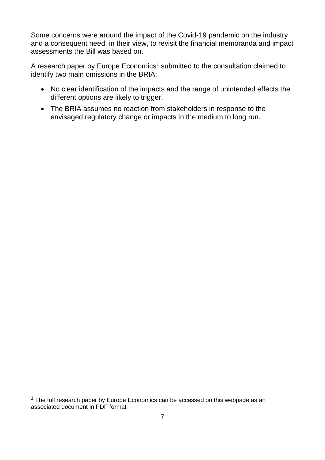Some concerns were around the impact of the Covid-19 pandemic on the industry and a consequent need, in their view, to revisit the financial memoranda and impact assessments the Bill was based on.

A research paper by Europe Economics<sup>1</sup> submitted to the consultation claimed to identify two main omissions in the BRIA:

- No clear identification of the impacts and the range of unintended effects the different options are likely to trigger.
- The BRIA assumes no reaction from stakeholders in response to the envisaged regulatory change or impacts in the medium to long run.

 $\overline{\phantom{a}}$  $1$  The full research paper by Europe Economics can be accessed on this webpage as an associated document in PDF format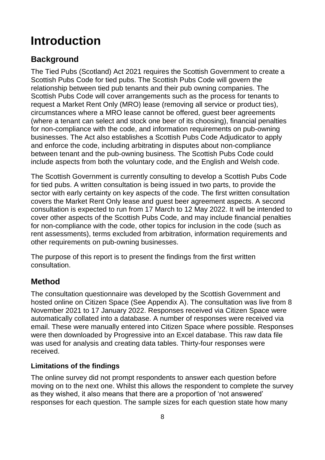# <span id="page-8-0"></span>**Introduction**

# <span id="page-8-1"></span>**Background**

The Tied Pubs (Scotland) Act 2021 requires the Scottish Government to create a Scottish Pubs Code for tied pubs. The Scottish Pubs Code will govern the relationship between tied pub tenants and their pub owning companies. The Scottish Pubs Code will cover arrangements such as the process for tenants to request a Market Rent Only (MRO) lease (removing all service or product ties), circumstances where a MRO lease cannot be offered, guest beer agreements (where a tenant can select and stock one beer of its choosing), financial penalties for non-compliance with the code, and information requirements on pub-owning businesses. The Act also establishes a Scottish Pubs Code Adjudicator to apply and enforce the code, including arbitrating in disputes about non-compliance between tenant and the pub-owning business. The Scottish Pubs Code could include aspects from both the voluntary code, and the English and Welsh code.

The Scottish Government is currently consulting to develop a Scottish Pubs Code for tied pubs. A written consultation is being issued in two parts, to provide the sector with early certainty on key aspects of the code. The first written consultation covers the Market Rent Only lease and guest beer agreement aspects. A second consultation is expected to run from 17 March to 12 May 2022. It will be intended to cover other aspects of the Scottish Pubs Code, and may include financial penalties for non-compliance with the code, other topics for inclusion in the code (such as rent assessments), terms excluded from arbitration, information requirements and other requirements on pub-owning businesses.

The purpose of this report is to present the findings from the first written consultation.

### <span id="page-8-2"></span>**Method**

The consultation questionnaire was developed by the Scottish Government and hosted online on Citizen Space (See Appendix A). The consultation was live from 8 November 2021 to 17 January 2022. Responses received via Citizen Space were automatically collated into a database. A number of responses were received via email. These were manually entered into Citizen Space where possible. Responses were then downloaded by Progressive into an Excel database. This raw data file was used for analysis and creating data tables. Thirty-four responses were received.

#### <span id="page-8-3"></span>**Limitations of the findings**

The online survey did not prompt respondents to answer each question before moving on to the next one. Whilst this allows the respondent to complete the survey as they wished, it also means that there are a proportion of 'not answered' responses for each question. The sample sizes for each question state how many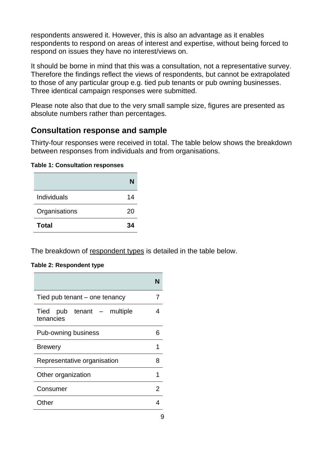respondents answered it. However, this is also an advantage as it enables respondents to respond on areas of interest and expertise, without being forced to respond on issues they have no interest/views on.

It should be borne in mind that this was a consultation, not a representative survey. Therefore the findings reflect the views of respondents, but cannot be extrapolated to those of any particular group e.g. tied pub tenants or pub owning businesses. Three identical campaign responses were submitted.

Please note also that due to the very small sample size, figures are presented as absolute numbers rather than percentages.

#### <span id="page-9-0"></span>**Consultation response and sample**

Thirty-four responses were received in total. The table below shows the breakdown between responses from individuals and from organisations.

#### **Table 1: Consultation responses**

|               | N  |
|---------------|----|
| Individuals   | 14 |
| Organisations | 20 |
| <b>Total</b>  | 34 |

The breakdown of respondent types is detailed in the table below.

#### **Table 2: Respondent type**

| Tied pub tenant – one tenancy           | 7 |
|-----------------------------------------|---|
| Tied pub tenant – multiple<br>tenancies |   |
| Pub-owning business                     |   |
| <b>Brewery</b>                          | 1 |
| Representative organisation             | 8 |
| Other organization                      | 1 |
| Consumer                                | 2 |
| Other                                   |   |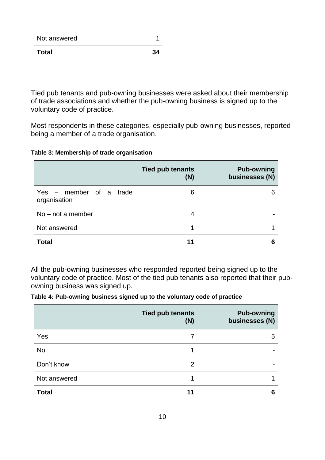| Not answered |    |
|--------------|----|
| <b>Total</b> | 34 |

Tied pub tenants and pub-owning businesses were asked about their membership of trade associations and whether the pub-owning business is signed up to the voluntary code of practice.

Most respondents in these categories, especially pub-owning businesses, reported being a member of a trade organisation.

#### **Table 3: Membership of trade organisation**

|                                         | <b>Tied pub tenants</b><br>(N) | <b>Pub-owning</b><br>businesses (N) |
|-----------------------------------------|--------------------------------|-------------------------------------|
| Yes – member of a trade<br>organisation | 6                              | 6                                   |
| $No$ – not a member                     | 4                              |                                     |
| Not answered                            |                                |                                     |
| <b>Total</b>                            |                                | 6                                   |

All the pub-owning businesses who responded reported being signed up to the voluntary code of practice. Most of the tied pub tenants also reported that their pubowning business was signed up.

#### **Table 4: Pub-owning business signed up to the voluntary code of practice**

|              | <b>Tied pub tenants</b><br>(N) | <b>Pub-owning</b><br>businesses (N) |
|--------------|--------------------------------|-------------------------------------|
| Yes          | 7                              | 5                                   |
| <b>No</b>    |                                | $\overline{\phantom{0}}$            |
| Don't know   | 2                              |                                     |
| Not answered |                                |                                     |
| <b>Total</b> | 11                             | 6                                   |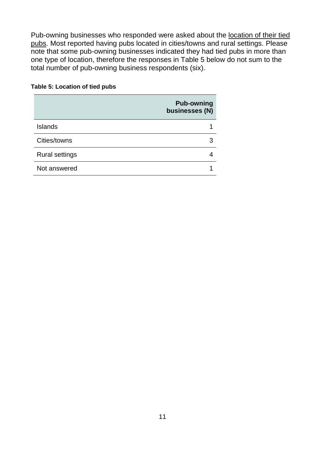Pub-owning businesses who responded were asked about the location of their tied pubs. Most reported having pubs located in cities/towns and rural settings. Please note that some pub-owning businesses indicated they had tied pubs in more than one type of location, therefore the responses in Table 5 below do not sum to the total number of pub-owning business respondents (six).

#### **Table 5: Location of tied pubs**

|                       | <b>Pub-owning</b><br>businesses (N) |
|-----------------------|-------------------------------------|
| <b>Islands</b>        |                                     |
| Cities/towns          | 3                                   |
| <b>Rural settings</b> |                                     |
| Not answered          |                                     |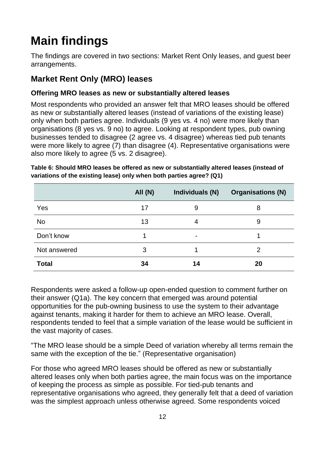# <span id="page-12-0"></span>**Main findings**

The findings are covered in two sections: Market Rent Only leases, and guest beer arrangements.

# <span id="page-12-1"></span>**Market Rent Only (MRO) leases**

#### <span id="page-12-2"></span>**Offering MRO leases as new or substantially altered leases**

Most respondents who provided an answer felt that MRO leases should be offered as new or substantially altered leases (instead of variations of the existing lease) only when both parties agree. Individuals (9 yes vs. 4 no) were more likely than organisations (8 yes vs. 9 no) to agree. Looking at respondent types, pub owning businesses tended to disagree (2 agree vs. 4 disagree) whereas tied pub tenants were more likely to agree (7) than disagree (4). Representative organisations were also more likely to agree (5 vs. 2 disagree).

|              | <b>All (N)</b> | Individuals (N) | <b>Organisations (N)</b> |
|--------------|----------------|-----------------|--------------------------|
| Yes          | 17             | 9               | 8                        |
| <b>No</b>    | 13             | 4               | 9                        |
| Don't know   |                | $\blacksquare$  |                          |
| Not answered | 3              |                 | 2                        |
| <b>Total</b> | 34             | 14              | 20                       |

**Table 6: Should MRO leases be offered as new or substantially altered leases (instead of variations of the existing lease) only when both parties agree? (Q1)**

Respondents were asked a follow-up open-ended question to comment further on their answer (Q1a). The key concern that emerged was around potential opportunities for the pub-owning business to use the system to their advantage against tenants, making it harder for them to achieve an MRO lease. Overall, respondents tended to feel that a simple variation of the lease would be sufficient in the vast majority of cases.

"The MRO lease should be a simple Deed of variation whereby all terms remain the same with the exception of the tie." (Representative organisation)

For those who agreed MRO leases should be offered as new or substantially altered leases only when both parties agree, the main focus was on the importance of keeping the process as simple as possible. For tied-pub tenants and representative organisations who agreed, they generally felt that a deed of variation was the simplest approach unless otherwise agreed. Some respondents voiced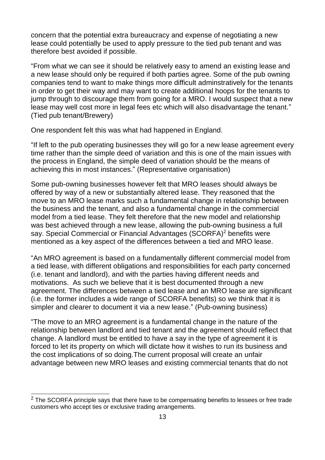concern that the potential extra bureaucracy and expense of negotiating a new lease could potentially be used to apply pressure to the tied pub tenant and was therefore best avoided if possible.

"From what we can see it should be relatively easy to amend an existing lease and a new lease should only be required if both parties agree. Some of the pub owning companies tend to want to make things more difficult adminstratively for the tenants in order to get their way and may want to create additional hoops for the tenants to jump through to discourage them from going for a MRO. I would suspect that a new lease may well cost more in legal fees etc which will also disadvantage the tenant." (Tied pub tenant/Brewery)

One respondent felt this was what had happened in England.

"If left to the pub operating businesses they will go for a new lease agreement every time rather than the simple deed of variation and this is one of the main issues with the process in England, the simple deed of variation should be the means of achieving this in most instances." (Representative organisation)

Some pub-owning businesses however felt that MRO leases should always be offered by way of a new or substantially altered lease. They reasoned that the move to an MRO lease marks such a fundamental change in relationship between the business and the tenant, and also a fundamental change in the commercial model from a tied lease. They felt therefore that the new model and relationship was best achieved through a new lease, allowing the pub-owning business a full say. Special Commercial or Financial Advantages (SCORFA) <sup>2</sup> benefits were mentioned as a key aspect of the differences between a tied and MRO lease.

"An MRO agreement is based on a fundamentally different commercial model from a tied lease, with different obligations and responsibilities for each party concerned (i.e. tenant and landlord), and with the parties having different needs and motivations. As such we believe that it is best documented through a new agreement. The differences between a tied lease and an MRO lease are significant (i.e. the former includes a wide range of SCORFA benefits) so we think that it is simpler and clearer to document it via a new lease." (Pub-owning business)

"The move to an MRO agreement is a fundamental change in the nature of the relationship between landlord and tied tenant and the agreement should reflect that change. A landlord must be entitled to have a say in the type of agreement it is forced to let its property on which will dictate how it wishes to run its business and the cost implications of so doing.The current proposal will create an unfair advantage between new MRO leases and existing commercial tenants that do not

 $\overline{\phantom{a}}$ 

 $2$  The SCORFA principle says that there have to be compensating benefits to lessees or free trade customers who accept ties or exclusive trading arrangements.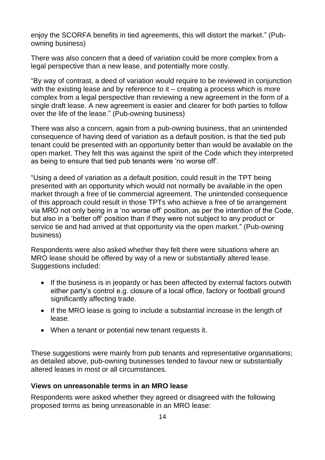enjoy the SCORFA benefits in tied agreements, this will distort the market." (Pubowning business)

There was also concern that a deed of variation could be more complex from a legal perspective than a new lease, and potentially more costly.

"By way of contrast, a deed of variation would require to be reviewed in conjunction with the existing lease and by reference to it – creating a process which is more complex from a legal perspective than reviewing a new agreement in the form of a single draft lease. A new agreement is easier and clearer for both parties to follow over the life of the lease." (Pub-owning business)

There was also a concern, again from a pub-owning business, that an unintended consequence of having deed of variation as a default position, is that the tied pub tenant could be presented with an opportunity better than would be available on the open market. They felt this was against the spirit of the Code which they interpreted as being to ensure that tied pub tenants were 'no worse off'.

"Using a deed of variation as a default position, could result in the TPT being presented with an opportunity which would not normally be available in the open market through a free of tie commercial agreement. The unintended consequence of this approach could result in those TPTs who achieve a free of tie arrangement via MRO not only being in a 'no worse off' position, as per the intention of the Code, but also in a 'better off' position than if they were not subject to any product or service tie and had arrived at that opportunity via the open market." (Pub-owning business)

Respondents were also asked whether they felt there were situations where an MRO lease should be offered by way of a new or substantially altered lease. Suggestions included:

- If the business is in jeopardy or has been affected by external factors outwith either party's control e.g. closure of a local office, factory or football ground significantly affecting trade.
- If the MRO lease is going to include a substantial increase in the length of lease.
- When a tenant or potential new tenant requests it.

These suggestions were mainly from pub tenants and representative organisations; as detailed above, pub-owning businesses tended to favour new or substantially altered leases in most or all circumstances.

#### <span id="page-14-0"></span>**Views on unreasonable terms in an MRO lease**

Respondents were asked whether they agreed or disagreed with the following proposed terms as being unreasonable in an MRO lease: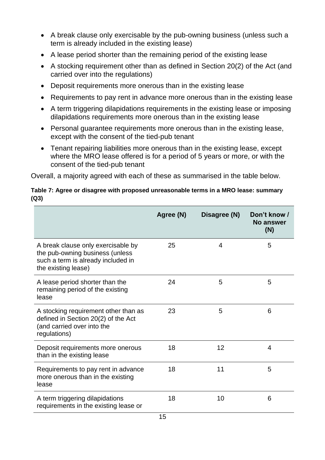- A break clause only exercisable by the pub-owning business (unless such a term is already included in the existing lease)
- A lease period shorter than the remaining period of the existing lease
- A stocking requirement other than as defined in Section 20(2) of the Act (and carried over into the regulations)
- Deposit requirements more onerous than in the existing lease
- Requirements to pay rent in advance more onerous than in the existing lease
- A term triggering dilapidations requirements in the existing lease or imposing dilapidations requirements more onerous than in the existing lease
- Personal guarantee requirements more onerous than in the existing lease, except with the consent of the tied-pub tenant
- Tenant repairing liabilities more onerous than in the existing lease, except where the MRO lease offered is for a period of 5 years or more, or with the consent of the tied-pub tenant

Overall, a majority agreed with each of these as summarised in the table below.

#### **Table 7: Agree or disagree with proposed unreasonable terms in a MRO lease: summary (Q3)**

|                                                                                                                                    | Agree (N) | Disagree (N) | Don't know /<br><b>No answer</b><br>(N) |
|------------------------------------------------------------------------------------------------------------------------------------|-----------|--------------|-----------------------------------------|
| A break clause only exercisable by<br>the pub-owning business (unless<br>such a term is already included in<br>the existing lease) | 25        | 4            | 5                                       |
| A lease period shorter than the<br>remaining period of the existing<br>lease                                                       | 24        | 5            | 5                                       |
| A stocking requirement other than as<br>defined in Section 20(2) of the Act<br>(and carried over into the<br>regulations)          | 23        | 5            | 6                                       |
| Deposit requirements more onerous<br>than in the existing lease                                                                    | 18        | 12           | 4                                       |
| Requirements to pay rent in advance<br>more onerous than in the existing<br>lease                                                  | 18        | 11           | 5                                       |
| A term triggering dilapidations<br>requirements in the existing lease or                                                           | 18        | 10           | 6                                       |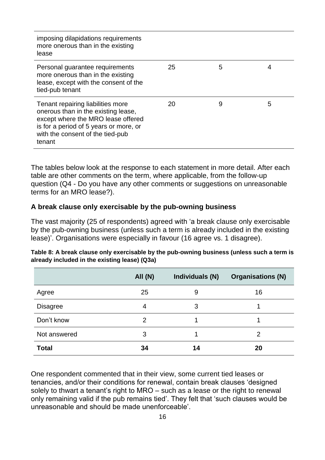| imposing dilapidations requirements<br>more onerous than in the existing<br>lease                                                                                                                      |    |   |   |
|--------------------------------------------------------------------------------------------------------------------------------------------------------------------------------------------------------|----|---|---|
| Personal guarantee requirements<br>more onerous than in the existing<br>lease, except with the consent of the<br>tied-pub tenant                                                                       | 25 | 5 |   |
| Tenant repairing liabilities more<br>onerous than in the existing lease,<br>except where the MRO lease offered<br>is for a period of 5 years or more, or<br>with the consent of the tied-pub<br>tenant | 20 | 9 | 5 |

The tables below look at the response to each statement in more detail. After each table are other comments on the term, where applicable, from the follow-up question (Q4 - Do you have any other comments or suggestions on unreasonable terms for an MRO lease?).

#### **A break clause only exercisable by the pub-owning business**

The vast majority (25 of respondents) agreed with 'a break clause only exercisable by the pub-owning business (unless such a term is already included in the existing lease)'. Organisations were especially in favour (16 agree vs. 1 disagree).

|                 | <b>All (N)</b> | Individuals (N) | <b>Organisations (N)</b> |
|-----------------|----------------|-----------------|--------------------------|
| Agree           | 25             | 9               | 16                       |
| <b>Disagree</b> | 4              | 3               |                          |
| Don't know      | 2              |                 |                          |
| Not answered    | 3              |                 | 2                        |
| <b>Total</b>    | 34             | 14              | 20                       |

**Table 8: A break clause only exercisable by the pub-owning business (unless such a term is already included in the existing lease) (Q3a)**

One respondent commented that in their view, some current tied leases or tenancies, and/or their conditions for renewal, contain break clauses 'designed solely to thwart a tenant's right to MRO – such as a lease or the right to renewal only remaining valid if the pub remains tied'. They felt that 'such clauses would be unreasonable and should be made unenforceable'.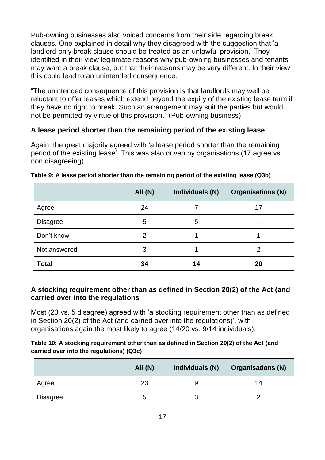Pub-owning businesses also voiced concerns from their side regarding break clauses. One explained in detail why they disagreed with the suggestion that 'a landlord-only break clause should be treated as an unlawful provision.' They identified in their view legitimate reasons why pub-owning businesses and tenants may want a break clause, but that their reasons may be very different. In their view this could lead to an unintended consequence.

"The unintended consequence of this provision is that landlords may well be reluctant to offer leases which extend beyond the expiry of the existing lease term if they have no right to break. Such an arrangement may suit the parties but would not be permitted by virtue of this provision." (Pub-owning business)

#### **A lease period shorter than the remaining period of the existing lease**

Again, the great majority agreed with 'a lease period shorter than the remaining period of the existing lease'. This was also driven by organisations (17 agree vs. non disagreeing).

|                 | <b>All (N)</b> | Individuals (N) | <b>Organisations (N)</b> |
|-----------------|----------------|-----------------|--------------------------|
| Agree           | 24             |                 | 17                       |
| <b>Disagree</b> | 5              | 5               | ۰                        |
| Don't know      | 2              |                 |                          |
| Not answered    | 3              |                 | 2                        |
| <b>Total</b>    | 34             | 14              | 20                       |

#### **Table 9: A lease period shorter than the remaining period of the existing lease (Q3b)**

#### **A stocking requirement other than as defined in Section 20(2) of the Act (and carried over into the regulations**

Most (23 vs. 5 disagree) agreed with 'a stocking requirement other than as defined in Section 20(2) of the Act (and carried over into the regulations)', with organisations again the most likely to agree (14/20 vs. 9/14 individuals).

#### **Table 10: A stocking requirement other than as defined in Section 20(2) of the Act (and carried over into the regulations) (Q3c)**

|          | All $(N)$ | Individuals (N) | <b>Organisations (N)</b> |
|----------|-----------|-----------------|--------------------------|
| Agree    | 23        |                 | 14                       |
| Disagree | b         |                 |                          |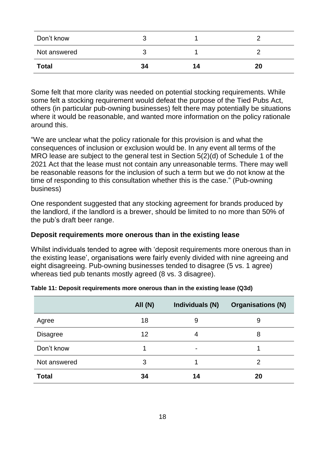| Don't know   |    |    |    |
|--------------|----|----|----|
| Not answered |    |    |    |
| <b>Total</b> | 34 | 14 | 20 |

Some felt that more clarity was needed on potential stocking requirements. While some felt a stocking requirement would defeat the purpose of the Tied Pubs Act, others (in particular pub-owning businesses) felt there may potentially be situations where it would be reasonable, and wanted more information on the policy rationale around this.

"We are unclear what the policy rationale for this provision is and what the consequences of inclusion or exclusion would be. In any event all terms of the MRO lease are subject to the general test in Section 5(2)(d) of Schedule 1 of the 2021 Act that the lease must not contain any unreasonable terms. There may well be reasonable reasons for the inclusion of such a term but we do not know at the time of responding to this consultation whether this is the case." (Pub-owning business)

One respondent suggested that any stocking agreement for brands produced by the landlord, if the landlord is a brewer, should be limited to no more than 50% of the pub's draft beer range.

#### **Deposit requirements more onerous than in the existing lease**

Whilst individuals tended to agree with 'deposit requirements more onerous than in the existing lease', organisations were fairly evenly divided with nine agreeing and eight disagreeing. Pub-owning businesses tended to disagree (5 vs. 1 agree) whereas tied pub tenants mostly agreed (8 vs. 3 disagree).

|                 | All(N) | Individuals (N) | <b>Organisations (N)</b> |
|-----------------|--------|-----------------|--------------------------|
| Agree           | 18     | 9               | 9                        |
| <b>Disagree</b> | 12     | 4               | 8                        |
| Don't know      |        | $\blacksquare$  |                          |
| Not answered    | 3      |                 | 2                        |
| <b>Total</b>    | 34     | 14              | 20                       |

#### **Table 11: Deposit requirements more onerous than in the existing lease (Q3d)**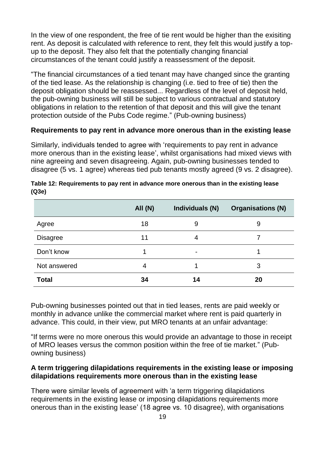In the view of one respondent, the free of tie rent would be higher than the exisiting rent. As deposit is calculated with reference to rent, they felt this would justify a topup to the deposit. They also felt that the potentially changing financial circumstances of the tenant could justify a reassessment of the deposit.

"The financial circumstances of a tied tenant may have changed since the granting of the tied lease. As the relationship is changing (i.e. tied to free of tie) then the deposit obligation should be reassessed... Regardless of the level of deposit held, the pub-owning business will still be subject to various contractual and statutory obligations in relation to the retention of that deposit and this will give the tenant protection outside of the Pubs Code regime." (Pub-owning business)

#### **Requirements to pay rent in advance more onerous than in the existing lease**

Similarly, individuals tended to agree with 'requirements to pay rent in advance more onerous than in the existing lease', whilst organisations had mixed views with nine agreeing and seven disagreeing. Again, pub-owning businesses tended to disagree (5 vs. 1 agree) whereas tied pub tenants mostly agreed (9 vs. 2 disagree).

|                 | <b>All (N)</b> | Individuals (N) | <b>Organisations (N)</b> |
|-----------------|----------------|-----------------|--------------------------|
| Agree           | 18             | 9               | 9                        |
| <b>Disagree</b> | 11             | 4               | 7                        |
| Don't know      |                | $\blacksquare$  |                          |
| Not answered    | 4              |                 | 3                        |
| <b>Total</b>    | 34             | 14              | 20                       |

| Table 12: Requirements to pay rent in advance more onerous than in the existing lease |  |
|---------------------------------------------------------------------------------------|--|
| (Q3e)                                                                                 |  |

Pub-owning businesses pointed out that in tied leases, rents are paid weekly or monthly in advance unlike the commercial market where rent is paid quarterly in advance. This could, in their view, put MRO tenants at an unfair advantage:

"If terms were no more onerous this would provide an advantage to those in receipt of MRO leases versus the common position within the free of tie market." (Pubowning business)

#### **A term triggering dilapidations requirements in the existing lease or imposing dilapidations requirements more onerous than in the existing lease**

There were similar levels of agreement with 'a term triggering dilapidations requirements in the existing lease or imposing dilapidations requirements more onerous than in the existing lease' (18 agree vs. 10 disagree), with organisations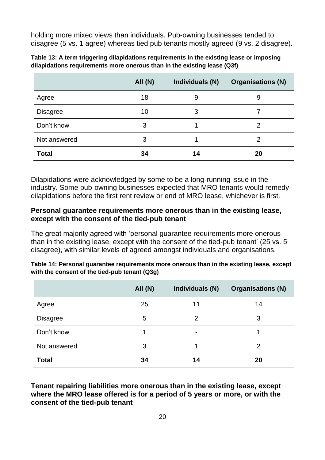holding more mixed views than individuals. Pub-owning businesses tended to disagree (5 vs. 1 agree) whereas tied pub tenants mostly agreed (9 vs. 2 disagree).

|                 | All (N) | Individuals (N) | <b>Organisations (N)</b> |
|-----------------|---------|-----------------|--------------------------|
| Agree           | 18      | 9               | 9                        |
| <b>Disagree</b> | 10      | 3               |                          |
| Don't know      | 3       |                 | 2                        |
| Not answered    | 3       |                 | 2                        |
| <b>Total</b>    | 34      | 14              | 20                       |

| Table 13: A term triggering dilapidations requirements in the existing lease or imposing |
|------------------------------------------------------------------------------------------|
| dilapidations requirements more onerous than in the existing lease (Q3f)                 |

Dilapidations were acknowledged by some to be a long-running issue in the industry. Some pub-owning businesses expected that MRO tenants would remedy dilapidations before the first rent review or end of MRO lease, whichever is first.

#### **Personal guarantee requirements more onerous than in the existing lease, except with the consent of the tied-pub tenant**

The great majority agreed with 'personal guarantee requirements more onerous than in the existing lease, except with the consent of the tied-pub tenant' (25 vs. 5 disagree), with similar levels of agreed amongst individuals and organisations.

| Table 14: Personal guarantee requirements more onerous than in the existing lease, except |
|-------------------------------------------------------------------------------------------|
| with the consent of the tied-pub tenant (Q3g)                                             |

|                 | <b>All (N)</b> | Individuals (N)          | <b>Organisations (N)</b> |
|-----------------|----------------|--------------------------|--------------------------|
| Agree           | 25             | 11                       | 14                       |
| <b>Disagree</b> | 5              | 2                        | 3                        |
| Don't know      |                | $\overline{\phantom{0}}$ |                          |
| Not answered    | 3              |                          | 2                        |
| <b>Total</b>    | 34             | 14                       | 20                       |

**Tenant repairing liabilities more onerous than in the existing lease, except where the MRO lease offered is for a period of 5 years or more, or with the consent of the tied-pub tenant**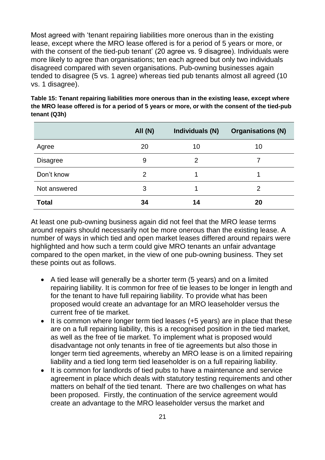Most agreed with 'tenant repairing liabilities more onerous than in the existing lease, except where the MRO lease offered is for a period of 5 years or more, or with the consent of the tied-pub tenant' (20 agree vs. 9 disagree). Individuals were more likely to agree than organisations; ten each agreed but only two individuals disagreed compared with seven organisations. Pub-owning businesses again tended to disagree (5 vs. 1 agree) whereas tied pub tenants almost all agreed (10 vs. 1 disagree).

|                 | All (N) | Individuals (N) | <b>Organisations (N)</b> |
|-----------------|---------|-----------------|--------------------------|
| Agree           | 20      | 10              | 10                       |
| <b>Disagree</b> | 9       | 2               |                          |
| Don't know      | 2       |                 |                          |
| Not answered    | 3       |                 | 2                        |
| <b>Total</b>    | 34      | 14              | 20                       |

**Table 15: Tenant repairing liabilities more onerous than in the existing lease, except where the MRO lease offered is for a period of 5 years or more, or with the consent of the tied-pub tenant (Q3h)**

At least one pub-owning business again did not feel that the MRO lease terms around repairs should necessarily not be more onerous than the existing lease. A number of ways in which tied and open market leases differed around repairs were highlighted and how such a term could give MRO tenants an unfair advantage compared to the open market, in the view of one pub-owning business. They set these points out as follows.

- A tied lease will generally be a shorter term (5 years) and on a limited repairing liability. It is common for free of tie leases to be longer in length and for the tenant to have full repairing liability. To provide what has been proposed would create an advantage for an MRO leaseholder versus the current free of tie market.
- It is common where longer term tied leases (+5 years) are in place that these are on a full repairing liability, this is a recognised position in the tied market, as well as the free of tie market. To implement what is proposed would disadvantage not only tenants in free of tie agreements but also those in longer term tied agreements, whereby an MRO lease is on a limited repairing liability and a tied long term tied leaseholder is on a full repairing liability.
- It is common for landlords of tied pubs to have a maintenance and service agreement in place which deals with statutory testing requirements and other matters on behalf of the tied tenant. There are two challenges on what has been proposed. Firstly, the continuation of the service agreement would create an advantage to the MRO leaseholder versus the market and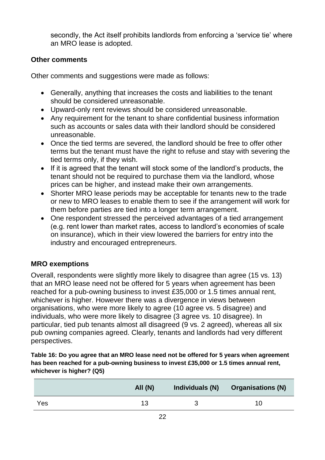secondly, the Act itself prohibits landlords from enforcing a 'service tie' where an MRO lease is adopted.

#### **Other comments**

Other comments and suggestions were made as follows:

- Generally, anything that increases the costs and liabilities to the tenant should be considered unreasonable.
- Upward-only rent reviews should be considered unreasonable.
- Any requirement for the tenant to share confidential business information such as accounts or sales data with their landlord should be considered unreasonable.
- Once the tied terms are severed, the landlord should be free to offer other terms but the tenant must have the right to refuse and stay with severing the tied terms only, if they wish.
- If it is agreed that the tenant will stock some of the landlord's products, the tenant should not be required to purchase them via the landlord, whose prices can be higher, and instead make their own arrangements.
- Shorter MRO lease periods may be acceptable for tenants new to the trade or new to MRO leases to enable them to see if the arrangement will work for them before parties are tied into a longer term arrangement.
- One respondent stressed the perceived advantages of a tied arrangement (e.g. rent lower than market rates, access to landlord's economies of scale on insurance), which in their view lowered the barriers for entry into the industry and encouraged entrepreneurs.

#### <span id="page-22-0"></span>**MRO exemptions**

Overall, respondents were slightly more likely to disagree than agree (15 vs. 13) that an MRO lease need not be offered for 5 years when agreement has been reached for a pub-owning business to invest £35,000 or 1.5 times annual rent, whichever is higher. However there was a divergence in views between organisations, who were more likely to agree (10 agree vs. 5 disagree) and individuals, who were more likely to disagree (3 agree vs. 10 disagree). In particular, tied pub tenants almost all disagreed (9 vs. 2 agreed), whereas all six pub owning companies agreed. Clearly, tenants and landlords had very different perspectives.

**Table 16: Do you agree that an MRO lease need not be offered for 5 years when agreement has been reached for a pub-owning business to invest £35,000 or 1.5 times annual rent, whichever is higher? (Q5)**

|     | All(N) | Individuals (N) | <b>Organisations (N)</b> |
|-----|--------|-----------------|--------------------------|
| Yes | 13     |                 |                          |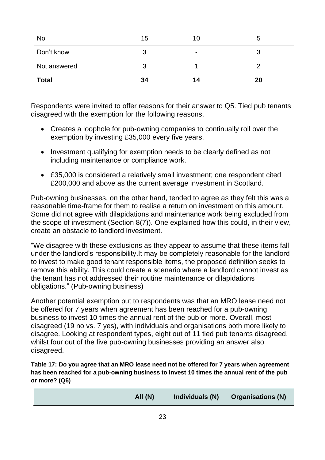| No           | 15 | 10             | b      |
|--------------|----|----------------|--------|
| Don't know   | 3  | $\blacksquare$ | n<br>చ |
| Not answered | ว  |                |        |
| <b>Total</b> | 34 | 14             | 20     |

Respondents were invited to offer reasons for their answer to Q5. Tied pub tenants disagreed with the exemption for the following reasons.

- Creates a loophole for pub-owning companies to continually roll over the exemption by investing £35,000 every five years.
- Investment qualifying for exemption needs to be clearly defined as not including maintenance or compliance work.
- £35,000 is considered a relatively small investment; one respondent cited £200,000 and above as the current average investment in Scotland.

Pub-owning businesses, on the other hand, tended to agree as they felt this was a reasonable time-frame for them to realise a return on investment on this amount. Some did not agree with dilapidations and maintenance work being excluded from the scope of investment (Section 8(7)). One explained how this could, in their view, create an obstacle to landlord investment.

"We disagree with these exclusions as they appear to assume that these items fall under the landlord's responsibility.It may be completely reasonable for the landlord to invest to make good tenant responsible items, the proposed definition seeks to remove this ability. This could create a scenario where a landlord cannot invest as the tenant has not addressed their routine maintenance or dilapidations obligations." (Pub-owning business)

Another potential exemption put to respondents was that an MRO lease need not be offered for 7 years when agreement has been reached for a pub-owning business to invest 10 times the annual rent of the pub or more. Overall, most disagreed (19 no vs. 7 yes), with individuals and organisations both more likely to disagree. Looking at respondent types, eight out of 11 tied pub tenants disagreed, whilst four out of the five pub-owning businesses providing an answer also disagreed.

**Table 17: Do you agree that an MRO lease need not be offered for 7 years when agreement has been reached for a pub-owning business to invest 10 times the annual rent of the pub or more? (Q6)**

| All(N) | Individuals (N) | <b>Organisations (N)</b> |
|--------|-----------------|--------------------------|
|        |                 |                          |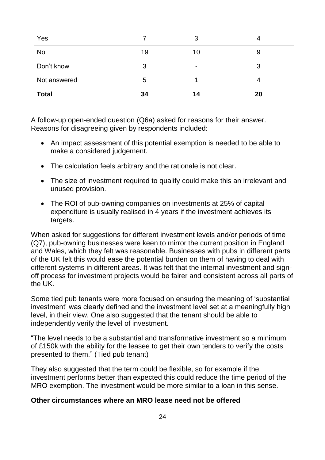| Yes          |    | 3              |    |
|--------------|----|----------------|----|
| <b>No</b>    | 19 | 10             | 9  |
| Don't know   | 3  | $\blacksquare$ | 3  |
| Not answered | 5  |                |    |
| <b>Total</b> | 34 | 14             | 20 |

A follow-up open-ended question (Q6a) asked for reasons for their answer. Reasons for disagreeing given by respondents included:

- An impact assessment of this potential exemption is needed to be able to make a considered judgement.
- The calculation feels arbitrary and the rationale is not clear.
- The size of investment required to qualify could make this an irrelevant and unused provision.
- The ROI of pub-owning companies on investments at 25% of capital expenditure is usually realised in 4 years if the investment achieves its targets.

When asked for suggestions for different investment levels and/or periods of time (Q7), pub-owning businesses were keen to mirror the current position in England and Wales, which they felt was reasonable. Businesses with pubs in different parts of the UK felt this would ease the potential burden on them of having to deal with different systems in different areas. It was felt that the internal investment and signoff process for investment projects would be fairer and consistent across all parts of the UK.

Some tied pub tenants were more focused on ensuring the meaning of 'substantial investment' was clearly defined and the investment level set at a meaningfully high level, in their view. One also suggested that the tenant should be able to independently verify the level of investment.

"The level needs to be a substantial and transformative investment so a minimum of £150k with the ability for the leasee to get their own tenders to verify the costs presented to them." (Tied pub tenant)

They also suggested that the term could be flexible, so for example if the investment performs better than expected this could reduce the time period of the MRO exemption. The investment would be more similar to a loan in this sense.

#### **Other circumstances where an MRO lease need not be offered**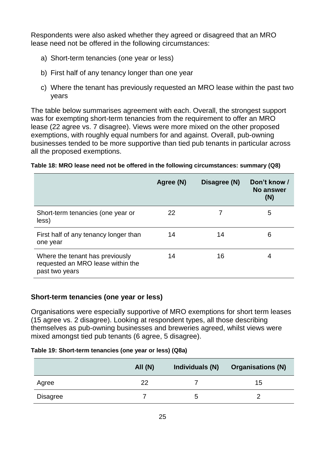Respondents were also asked whether they agreed or disagreed that an MRO lease need not be offered in the following circumstances:

- a) Short-term tenancies (one year or less)
- b) First half of any tenancy longer than one year
- c) Where the tenant has previously requested an MRO lease within the past two years

The table below summarises agreement with each. Overall, the strongest support was for exempting short-term tenancies from the requirement to offer an MRO lease (22 agree vs. 7 disagree). Views were more mixed on the other proposed exemptions, with roughly equal numbers for and against. Overall, pub-owning businesses tended to be more supportive than tied pub tenants in particular across all the proposed exemptions.

|  |  | Table 18: MRO lease need not be offered in the following circumstances: summary (Q8) |  |
|--|--|--------------------------------------------------------------------------------------|--|

|                                                                                        | Agree (N) | Disagree (N) | Don't know /<br>No answer<br>(N) |
|----------------------------------------------------------------------------------------|-----------|--------------|----------------------------------|
| Short-term tenancies (one year or<br>less)                                             | 22        |              | 5                                |
| First half of any tenancy longer than<br>one year                                      | 14        | 14           | 6                                |
| Where the tenant has previously<br>requested an MRO lease within the<br>past two years | 14        | 16           | 4                                |

#### **Short-term tenancies (one year or less)**

Organisations were especially supportive of MRO exemptions for short term leases (15 agree vs. 2 disagree). Looking at respondent types, all those describing themselves as pub-owning businesses and breweries agreed, whilst views were mixed amongst tied pub tenants (6 agree, 5 disagree).

**Table 19: Short-term tenancies (one year or less) (Q8a)**

|          | All $(N)$ | Individuals (N) | <b>Organisations (N)</b> |
|----------|-----------|-----------------|--------------------------|
| Agree    | 22        |                 | 15                       |
| Disagree |           | b               |                          |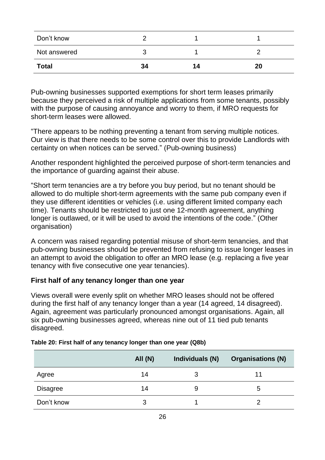| Don't know   |    |    |    |
|--------------|----|----|----|
| Not answered |    |    |    |
| <b>Total</b> | 34 | 14 | 20 |

Pub-owning businesses supported exemptions for short term leases primarily because they perceived a risk of multiple applications from some tenants, possibly with the purpose of causing annoyance and worry to them, if MRO requests for short-term leases were allowed.

"There appears to be nothing preventing a tenant from serving multiple notices. Our view is that there needs to be some control over this to provide Landlords with certainty on when notices can be served." (Pub-owning business)

Another respondent highlighted the perceived purpose of short-term tenancies and the importance of guarding against their abuse.

"Short term tenancies are a try before you buy period, but no tenant should be allowed to do multiple short-term agreements with the same pub company even if they use different identities or vehicles (i.e. using different limited company each time). Tenants should be restricted to just one 12-month agreement, anything longer is outlawed, or it will be used to avoid the intentions of the code." (Other organisation)

A concern was raised regarding potential misuse of short-term tenancies, and that pub-owning businesses should be prevented from refusing to issue longer leases in an attempt to avoid the obligation to offer an MRO lease (e.g. replacing a five year tenancy with five consecutive one year tenancies).

#### **First half of any tenancy longer than one year**

Views overall were evenly split on whether MRO leases should not be offered during the first half of any tenancy longer than a year (14 agreed, 14 disagreed). Again, agreement was particularly pronounced amongst organisations. Again, all six pub-owning businesses agreed, whereas nine out of 11 tied pub tenants disagreed.

|                 | All(N) | Individuals (N) | <b>Organisations (N)</b> |
|-----------------|--------|-----------------|--------------------------|
| Agree           | 14     | З               | 11                       |
| <b>Disagree</b> | 14     | 9               | b                        |
| Don't know      | 3      |                 |                          |

#### **Table 20: First half of any tenancy longer than one year (Q8b)**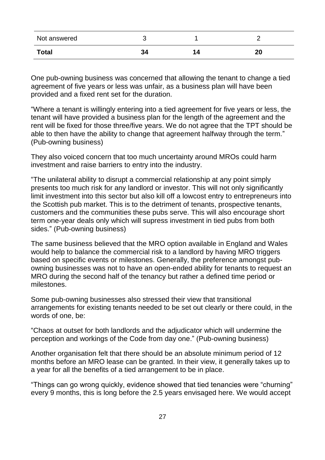| Not answered |            |    |
|--------------|------------|----|
| <b>Total</b> | י פ<br>-94 | 20 |

One pub-owning business was concerned that allowing the tenant to change a tied agreement of five years or less was unfair, as a business plan will have been provided and a fixed rent set for the duration.

"Where a tenant is willingly entering into a tied agreement for five years or less, the tenant will have provided a business plan for the length of the agreement and the rent will be fixed for those three/five years. We do not agree that the TPT should be able to then have the ability to change that agreement halfway through the term." (Pub-owning business)

They also voiced concern that too much uncertainty around MROs could harm investment and raise barriers to entry into the industry.

"The unilateral ability to disrupt a commercial relationship at any point simply presents too much risk for any landlord or investor. This will not only significantly limit investment into this sector but also kill off a lowcost entry to entrepreneurs into the Scottish pub market. This is to the detriment of tenants, prospective tenants, customers and the communities these pubs serve. This will also encourage short term one-year deals only which will supress investment in tied pubs from both sides." (Pub-owning business)

The same business believed that the MRO option available in England and Wales would help to balance the commercial risk to a landlord by having MRO triggers based on specific events or milestones. Generally, the preference amongst pubowning businesses was not to have an open-ended ability for tenants to request an MRO during the second half of the tenancy but rather a defined time period or milestones.

Some pub-owning businesses also stressed their view that transitional arrangements for existing tenants needed to be set out clearly or there could, in the words of one, be:

"Chaos at outset for both landlords and the adjudicator which will undermine the perception and workings of the Code from day one." (Pub-owning business)

Another organisation felt that there should be an absolute minimum period of 12 months before an MRO lease can be granted. In their view, it generally takes up to a year for all the benefits of a tied arrangement to be in place.

"Things can go wrong quickly, evidence showed that tied tenancies were "churning" every 9 months, this is long before the 2.5 years envisaged here. We would accept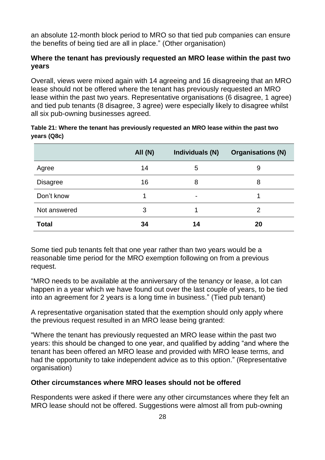an absolute 12-month block period to MRO so that tied pub companies can ensure the benefits of being tied are all in place." (Other organisation)

#### **Where the tenant has previously requested an MRO lease within the past two years**

Overall, views were mixed again with 14 agreeing and 16 disagreeing that an MRO lease should not be offered where the tenant has previously requested an MRO lease within the past two years. Representative organisations (6 disagree, 1 agree) and tied pub tenants (8 disagree, 3 agree) were especially likely to disagree whilst all six pub-owning businesses agreed.

| Table 21: Where the tenant has previously requested an MRO lease within the past two |
|--------------------------------------------------------------------------------------|
| years (Q8c)                                                                          |

|                 | <b>All (N)</b> | Individuals (N) | <b>Organisations (N)</b> |
|-----------------|----------------|-----------------|--------------------------|
| Agree           | 14             | 5               | 9                        |
| <b>Disagree</b> | 16             | 8               | 8                        |
| Don't know      |                | $\blacksquare$  |                          |
| Not answered    | 3              |                 | 2                        |
| <b>Total</b>    | 34             | 14              | 20                       |

Some tied pub tenants felt that one year rather than two years would be a reasonable time period for the MRO exemption following on from a previous request.

"MRO needs to be available at the anniversary of the tenancy or lease, a lot can happen in a year which we have found out over the last couple of years, to be tied into an agreement for 2 years is a long time in business." (Tied pub tenant)

A representative organisation stated that the exemption should only apply where the previous request resulted in an MRO lease being granted:

"Where the tenant has previously requested an MRO lease within the past two years: this should be changed to one year, and qualified by adding "and where the tenant has been offered an MRO lease and provided with MRO lease terms, and had the opportunity to take independent advice as to this option." (Representative organisation)

#### **Other circumstances where MRO leases should not be offered**

Respondents were asked if there were any other circumstances where they felt an MRO lease should not be offered. Suggestions were almost all from pub-owning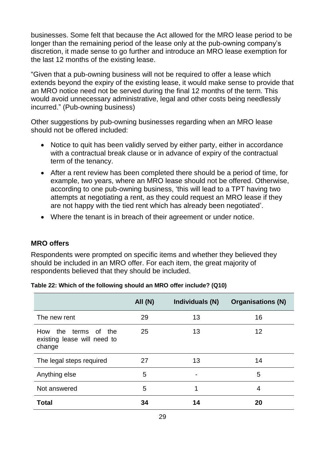businesses. Some felt that because the Act allowed for the MRO lease period to be longer than the remaining period of the lease only at the pub-owning company's discretion, it made sense to go further and introduce an MRO lease exemption for the last 12 months of the existing lease.

"Given that a pub-owning business will not be required to offer a lease which extends beyond the expiry of the existing lease, it would make sense to provide that an MRO notice need not be served during the final 12 months of the term. This would avoid unnecessary administrative, legal and other costs being needlessly incurred." (Pub-owning business)

Other suggestions by pub-owning businesses regarding when an MRO lease should not be offered included:

- Notice to quit has been validly served by either party, either in accordance with a contractual break clause or in advance of expiry of the contractual term of the tenancy.
- After a rent review has been completed there should be a period of time, for example, two years, where an MRO lease should not be offered. Otherwise, according to one pub-owning business, 'this will lead to a TPT having two attempts at negotiating a rent, as they could request an MRO lease if they are not happy with the tied rent which has already been negotiated'.
- Where the tenant is in breach of their agreement or under notice.

#### <span id="page-29-0"></span>**MRO offers**

Respondents were prompted on specific items and whether they believed they should be included in an MRO offer. For each item, the great majority of respondents believed that they should be included.

| Table 22: Which of the following should an MRO offer include? (Q10) |  |
|---------------------------------------------------------------------|--|
|---------------------------------------------------------------------|--|

|                                                                  | All(N) | Individuals (N)          | <b>Organisations (N)</b> |
|------------------------------------------------------------------|--------|--------------------------|--------------------------|
| The new rent                                                     | 29     | 13                       | 16                       |
| the terms of the<br>How<br>existing lease will need to<br>change | 25     | 13                       | 12                       |
| The legal steps required                                         | 27     | 13                       | 14                       |
| Anything else                                                    | 5      | $\overline{\phantom{0}}$ | 5                        |
| Not answered                                                     | 5      | 1                        | 4                        |
| <b>Total</b>                                                     | 34     | 14                       | 20                       |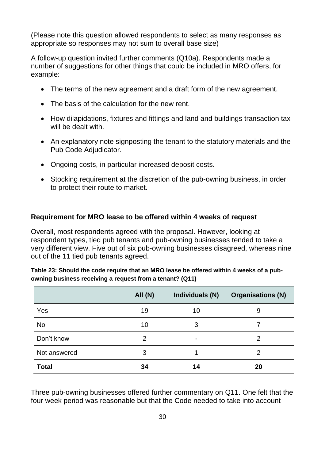(Please note this question allowed respondents to select as many responses as appropriate so responses may not sum to overall base size)

A follow-up question invited further comments (Q10a). Respondents made a number of suggestions for other things that could be included in MRO offers, for example:

- The terms of the new agreement and a draft form of the new agreement.
- The basis of the calculation for the new rent.
- How dilapidations, fixtures and fittings and land and buildings transaction tax will be dealt with.
- An explanatory note signposting the tenant to the statutory materials and the Pub Code Adjudicator.
- Ongoing costs, in particular increased deposit costs.
- Stocking requirement at the discretion of the pub-owning business, in order to protect their route to market.

#### **Requirement for MRO lease to be offered within 4 weeks of request**

Overall, most respondents agreed with the proposal. However, looking at respondent types, tied pub tenants and pub-owning businesses tended to take a very different view. Five out of six pub-owning businesses disagreed, whereas nine out of the 11 tied pub tenants agreed.

|              | <b>All (N)</b> | Individuals (N) | <b>Organisations (N)</b> |
|--------------|----------------|-----------------|--------------------------|
| Yes          | 19             | 10              | 9                        |
| <b>No</b>    | 10             | 3               |                          |
| Don't know   | 2              | $\blacksquare$  | $\overline{2}$           |
| Not answered | 3              | 1               | $\overline{2}$           |
| <b>Total</b> | 34             | 14              | 20                       |

| Table 23: Should the code require that an MRO lease be offered within 4 weeks of a pub- |
|-----------------------------------------------------------------------------------------|
| owning business receiving a request from a tenant? (Q11)                                |

Three pub-owning businesses offered further commentary on Q11. One felt that the four week period was reasonable but that the Code needed to take into account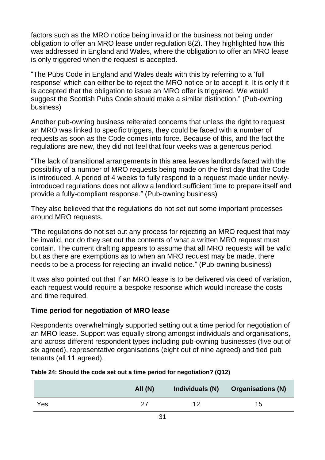factors such as the MRO notice being invalid or the business not being under obligation to offer an MRO lease under regulation 8(2). They highlighted how this was addressed in England and Wales, where the obligation to offer an MRO lease is only triggered when the request is accepted.

"The Pubs Code in England and Wales deals with this by referring to a 'full response' which can either be to reject the MRO notice or to accept it. It is only if it is accepted that the obligation to issue an MRO offer is triggered. We would suggest the Scottish Pubs Code should make a similar distinction." (Pub-owning business)

Another pub-owning business reiterated concerns that unless the right to request an MRO was linked to specific triggers, they could be faced with a number of requests as soon as the Code comes into force. Because of this, and the fact the regulations are new, they did not feel that four weeks was a generous period.

"The lack of transitional arrangements in this area leaves landlords faced with the possibility of a number of MRO requests being made on the first day that the Code is introduced. A period of 4 weeks to fully respond to a request made under newlyintroduced regulations does not allow a landlord sufficient time to prepare itself and provide a fully-compliant response." (Pub-owning business)

They also believed that the regulations do not set out some important processes around MRO requests.

"The regulations do not set out any process for rejecting an MRO request that may be invalid, nor do they set out the contents of what a written MRO request must contain. The current drafting appears to assume that all MRO requests will be valid but as there are exemptions as to when an MRO request may be made, there needs to be a process for rejecting an invalid notice." (Pub-owning business)

It was also pointed out that if an MRO lease is to be delivered via deed of variation, each request would require a bespoke response which would increase the costs and time required.

#### **Time period for negotiation of MRO lease**

Respondents overwhelmingly supported setting out a time period for negotiation of an MRO lease. Support was equally strong amongst individuals and organisations, and across different respondent types including pub-owning businesses (five out of six agreed), representative organisations (eight out of nine agreed) and tied pub tenants (all 11 agreed).

|     | All $(N)$ | Individuals (N) | <b>Organisations (N)</b> |
|-----|-----------|-----------------|--------------------------|
| Yes | 27        | ィク              | 15                       |

#### **Table 24: Should the code set out a time period for negotiation? (Q12)**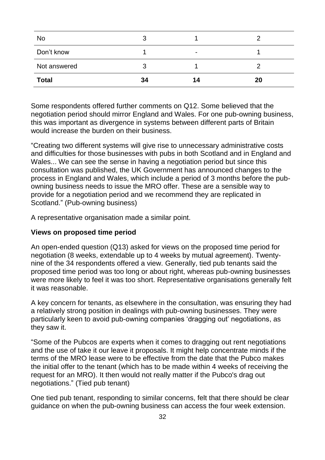| <b>No</b>    |    |                |    |
|--------------|----|----------------|----|
| Don't know   |    | $\blacksquare$ |    |
| Not answered |    |                |    |
| <b>Total</b> | 34 | 14             | 20 |

Some respondents offered further comments on Q12. Some believed that the negotiation period should mirror England and Wales. For one pub-owning business, this was important as divergence in systems between different parts of Britain would increase the burden on their business.

"Creating two different systems will give rise to unnecessary administrative costs and difficulties for those businesses with pubs in both Scotland and in England and Wales... We can see the sense in having a negotiation period but since this consultation was published, the UK Government has announced changes to the process in England and Wales, which include a period of 3 months before the pubowning business needs to issue the MRO offer. These are a sensible way to provide for a negotiation period and we recommend they are replicated in Scotland." (Pub-owning business)

A representative organisation made a similar point.

#### **Views on proposed time period**

An open-ended question (Q13) asked for views on the proposed time period for negotiation (8 weeks, extendable up to 4 weeks by mutual agreement). Twentynine of the 34 respondents offered a view. Generally, tied pub tenants said the proposed time period was too long or about right, whereas pub-owning businesses were more likely to feel it was too short. Representative organisations generally felt it was reasonable.

A key concern for tenants, as elsewhere in the consultation, was ensuring they had a relatively strong position in dealings with pub-owning businesses. They were particularly keen to avoid pub-owning companies 'dragging out' negotiations, as they saw it.

"Some of the Pubcos are experts when it comes to dragging out rent negotiations and the use of take it our leave it proposals. It might help concentrate minds if the terms of the MRO lease were to be effective from the date that the Pubco makes the initial offer to the tenant (which has to be made within 4 weeks of receiving the request for an MRO). It then would not really matter if the Pubco's drag out negotiations." (Tied pub tenant)

One tied pub tenant, responding to similar concerns, felt that there should be clear guidance on when the pub-owning business can access the four week extension.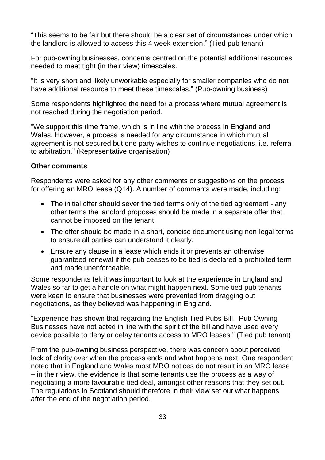"This seems to be fair but there should be a clear set of circumstances under which the landlord is allowed to access this 4 week extension." (Tied pub tenant)

For pub-owning businesses, concerns centred on the potential additional resources needed to meet tight (in their view) timescales.

"It is very short and likely unworkable especially for smaller companies who do not have additional resource to meet these timescales." (Pub-owning business)

Some respondents highlighted the need for a process where mutual agreement is not reached during the negotiation period.

"We support this time frame, which is in line with the process in England and Wales. However, a process is needed for any circumstance in which mutual agreement is not secured but one party wishes to continue negotiations, i.e. referral to arbitration." (Representative organisation)

#### **Other comments**

Respondents were asked for any other comments or suggestions on the process for offering an MRO lease (Q14). A number of comments were made, including:

- The initial offer should sever the tied terms only of the tied agreement any other terms the landlord proposes should be made in a separate offer that cannot be imposed on the tenant.
- The offer should be made in a short, concise document using non-legal terms to ensure all parties can understand it clearly.
- Ensure any clause in a lease which ends it or prevents an otherwise guaranteed renewal if the pub ceases to be tied is declared a prohibited term and made unenforceable.

Some respondents felt it was important to look at the experience in England and Wales so far to get a handle on what might happen next. Some tied pub tenants were keen to ensure that businesses were prevented from dragging out negotiations, as they believed was happening in England.

"Experience has shown that regarding the English Tied Pubs Bill, Pub Owning Businesses have not acted in line with the spirit of the bill and have used every device possible to deny or delay tenants access to MRO leases." (Tied pub tenant)

From the pub-owning business perspective, there was concern about perceived lack of clarity over when the process ends and what happens next. One respondent noted that in England and Wales most MRO notices do not result in an MRO lease – in their view, the evidence is that some tenants use the process as a way of negotiating a more favourable tied deal, amongst other reasons that they set out. The regulations in Scotland should therefore in their view set out what happens after the end of the negotiation period.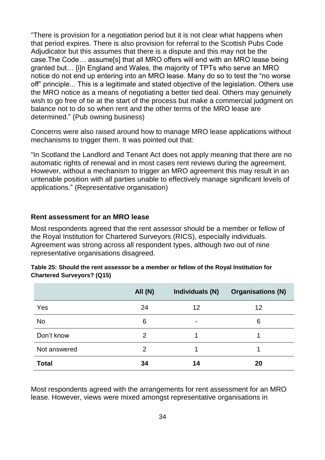"There is provision for a negotiation period but it is not clear what happens when that period expires. There is also provision for referral to the Scottish Pubs Code Adjudicator but this assumes that there is a dispute and this may not be the case.The Code… assume[s] that all MRO offers will end with an MRO lease being granted but… [i]n England and Wales, the majority of TPTs who serve an MRO notice do not end up entering into an MRO lease. Many do so to test the "no worse off" principle... This is a legitimate and stated objective of the legislation. Others use the MRO notice as a means of negotiating a better tied deal. Others may genuinely wish to go free of tie at the start of the process but make a commercial judgment on balance not to do so when rent and the other terms of the MRO lease are determined." (Pub owning business)

Concerns were also raised around how to manage MRO lease applications without mechanisms to trigger them. It was pointed out that:

"In Scotland the Landlord and Tenant Act does not apply meaning that there are no automatic rights of renewal and in most cases rent reviews during the agreement. However, without a mechanism to trigger an MRO agreement this may result in an untenable position with all parties unable to effectively manage significant levels of applications." (Representative organisation)

#### <span id="page-34-0"></span>**Rent assessment for an MRO lease**

Most respondents agreed that the rent assessor should be a member or fellow of the Royal Institution for Chartered Surveyors (RICS), especially individuals. Agreement was strong across all respondent types, although two out of nine representative organisations disagreed.

|              | <b>All (N)</b> | Individuals (N) | <b>Organisations (N)</b> |
|--------------|----------------|-----------------|--------------------------|
| Yes          | 24             | 12              | 12                       |
| <b>No</b>    | 6              | $\blacksquare$  | 6                        |
| Don't know   | $\overline{2}$ |                 |                          |
| Not answered | $\overline{2}$ |                 |                          |
| <b>Total</b> | 34             | 14              | 20                       |

| Table 25: Should the rent assessor be a member or fellow of the Royal Institution for |  |  |
|---------------------------------------------------------------------------------------|--|--|
| <b>Chartered Surveyors? (Q15)</b>                                                     |  |  |

Most respondents agreed with the arrangements for rent assessment for an MRO lease. However, views were mixed amongst representative organisations in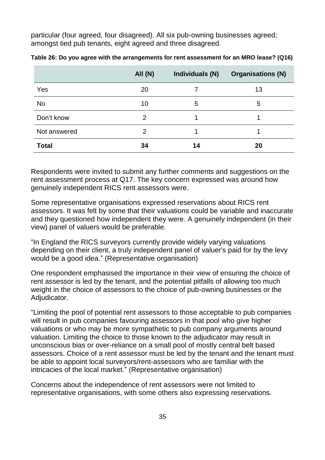particular (four agreed, four disagreed). All six pub-owning businesses agreed; amongst tied pub tenants, eight agreed and three disagreed.

|              | <b>All (N)</b> | Individuals (N) | <b>Organisations (N)</b> |
|--------------|----------------|-----------------|--------------------------|
| Yes          | 20             |                 | 13                       |
| No           | 10             | 5               | 5                        |
| Don't know   | 2              |                 |                          |
| Not answered | 2              |                 |                          |
| <b>Total</b> | 34             | 14              | 20                       |

**Table 26: Do you agree with the arrangements for rent assessment for an MRO lease? (Q16)**

Respondents were invited to submit any further comments and suggestions on the rent assessment process at Q17. The key concern expressed was around how genuinely independent RICS rent assessors were.

Some representative organisations expressed reservations about RICS rent assessors. It was felt by some that their valuations could be variable and inaccurate and they questioned how independent they were. A genuinely independent (in their view) panel of valuers would be preferable.

"In England the RICS surveyors currently provide widely varying valuations depending on their client, a truly independent panel of valuer's paid for by the levy would be a good idea." (Representative organisation)

One respondent emphasised the importance in their view of ensuring the choice of rent assessor is led by the tenant, and the potential pitfalls of allowing too much weight in the choice of assessors to the choice of pub-owning businesses or the Adjudicator.

"Limiting the pool of potential rent assessors to those acceptable to pub companies will result in pub companies favouring assessors in that pool who give higher valuations or who may be more sympathetic to pub company arguments around valuation. Limiting the choice to those known to the adjudicator may result in unconscious bias or over-reliance on a small pool of mostly central belt based assessors. Choice of a rent assessor must be led by the tenant and the tenant must be able to appoint local surveyors/rent-assessors who are familiar with the intricacies of the local market." (Representative organisation)

Concerns about the independence of rent assessors were not limited to representative organisations, with some others also expressing reservations.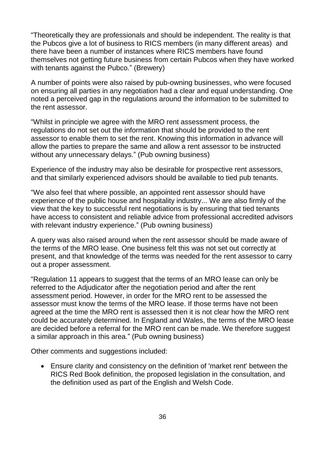"Theoretically they are professionals and should be independent. The reality is that the Pubcos give a lot of business to RICS members (in many different areas) and there have been a number of instances where RICS members have found themselves not getting future business from certain Pubcos when they have worked with tenants against the Pubco." (Brewery)

A number of points were also raised by pub-owning businesses, who were focused on ensuring all parties in any negotiation had a clear and equal understanding. One noted a perceived gap in the regulations around the information to be submitted to the rent assessor.

"Whilst in principle we agree with the MRO rent assessment process, the regulations do not set out the information that should be provided to the rent assessor to enable them to set the rent. Knowing this information in advance will allow the parties to prepare the same and allow a rent assessor to be instructed without any unnecessary delays." (Pub owning business)

Experience of the industry may also be desirable for prospective rent assessors, and that similarly experienced advisors should be available to tied pub tenants.

"We also feel that where possible, an appointed rent assessor should have experience of the public house and hospitality industry... We are also firmly of the view that the key to successful rent negotiations is by ensuring that tied tenants have access to consistent and reliable advice from professional accredited advisors with relevant industry experience." (Pub owning business)

A query was also raised around when the rent assessor should be made aware of the terms of the MRO lease. One business felt this was not set out correctly at present, and that knowledge of the terms was needed for the rent assessor to carry out a proper assessment.

"Regulation 11 appears to suggest that the terms of an MRO lease can only be referred to the Adjudicator after the negotiation period and after the rent assessment period. However, in order for the MRO rent to be assessed the assessor must know the terms of the MRO lease. If those terms have not been agreed at the time the MRO rent is assessed then it is not clear how the MRO rent could be accurately determined. In England and Wales, the terms of the MRO lease are decided before a referral for the MRO rent can be made. We therefore suggest a similar approach in this area." (Pub owning business)

Other comments and suggestions included:

• Ensure clarity and consistency on the definition of 'market rent' between the RICS Red Book definition, the proposed legislation in the consultation, and the definition used as part of the English and Welsh Code.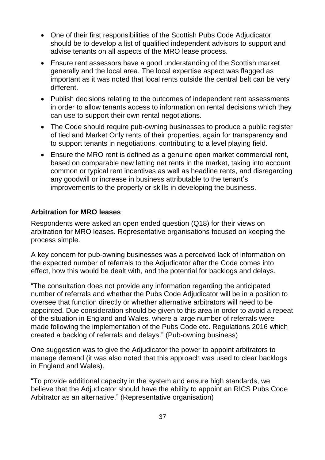- One of their first responsibilities of the Scottish Pubs Code Adjudicator should be to develop a list of qualified independent advisors to support and advise tenants on all aspects of the MRO lease process.
- Ensure rent assessors have a good understanding of the Scottish market generally and the local area. The local expertise aspect was flagged as important as it was noted that local rents outside the central belt can be very different.
- Publish decisions relating to the outcomes of independent rent assessments in order to allow tenants access to information on rental decisions which they can use to support their own rental negotiations.
- The Code should require pub-owning businesses to produce a public register of tied and Market Only rents of their properties, again for transparency and to support tenants in negotiations, contributing to a level playing field.
- Ensure the MRO rent is defined as a genuine open market commercial rent, based on comparable new letting net rents in the market, taking into account common or typical rent incentives as well as headline rents, and disregarding any goodwill or increase in business attributable to the tenant's improvements to the property or skills in developing the business.

#### <span id="page-37-0"></span>**Arbitration for MRO leases**

Respondents were asked an open ended question (Q18) for their views on arbitration for MRO leases. Representative organisations focused on keeping the process simple.

A key concern for pub-owning businesses was a perceived lack of information on the expected number of referrals to the Adjudicator after the Code comes into effect, how this would be dealt with, and the potential for backlogs and delays.

"The consultation does not provide any information regarding the anticipated number of referrals and whether the Pubs Code Adjudicator will be in a position to oversee that function directly or whether alternative arbitrators will need to be appointed. Due consideration should be given to this area in order to avoid a repeat of the situation in England and Wales, where a large number of referrals were made following the implementation of the Pubs Code etc. Regulations 2016 which created a backlog of referrals and delays." (Pub-owning business)

One suggestion was to give the Adjudicator the power to appoint arbitrators to manage demand (it was also noted that this approach was used to clear backlogs in England and Wales).

"To provide additional capacity in the system and ensure high standards, we believe that the Adjudicator should have the ability to appoint an RICS Pubs Code Arbitrator as an alternative." (Representative organisation)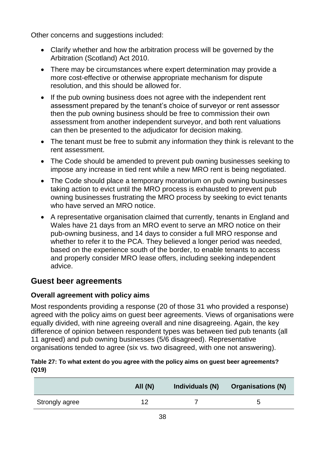Other concerns and suggestions included:

- Clarify whether and how the arbitration process will be governed by the Arbitration (Scotland) Act 2010.
- There may be circumstances where expert determination may provide a more cost-effective or otherwise appropriate mechanism for dispute resolution, and this should be allowed for.
- If the pub owning business does not agree with the independent rent assessment prepared by the tenant's choice of surveyor or rent assessor then the pub owning business should be free to commission their own assessment from another independent surveyor, and both rent valuations can then be presented to the adjudicator for decision making.
- The tenant must be free to submit any information they think is relevant to the rent assessment.
- The Code should be amended to prevent pub owning businesses seeking to impose any increase in tied rent while a new MRO rent is being negotiated.
- The Code should place a temporary moratorium on pub owning businesses taking action to evict until the MRO process is exhausted to prevent pub owning businesses frustrating the MRO process by seeking to evict tenants who have served an MRO notice.
- A representative organisation claimed that currently, tenants in England and Wales have 21 days from an MRO event to serve an MRO notice on their pub-owning business, and 14 days to consider a full MRO response and whether to refer it to the PCA. They believed a longer period was needed, based on the experience south of the border, to enable tenants to access and properly consider MRO lease offers, including seeking independent advice.

### <span id="page-38-0"></span>**Guest beer agreements**

#### <span id="page-38-1"></span>**Overall agreement with policy aims**

Most respondents providing a response (20 of those 31 who provided a response) agreed with the policy aims on guest beer agreements. Views of organisations were equally divided, with nine agreeing overall and nine disagreeing. Again, the key difference of opinion between respondent types was between tied pub tenants (all 11 agreed) and pub owning businesses (5/6 disagreed). Representative organisations tended to agree (six vs. two disagreed, with one not answering).

#### **Table 27: To what extent do you agree with the policy aims on guest beer agreements? (Q19)**

|                | All(N) | Individuals (N) | <b>Organisations (N)</b> |
|----------------|--------|-----------------|--------------------------|
| Strongly agree |        |                 | 5                        |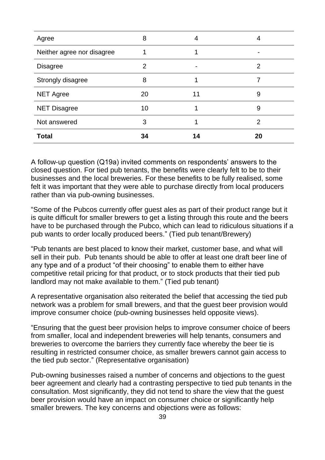| Agree                      | 8  | 4  | 4  |
|----------------------------|----|----|----|
| Neither agree nor disagree |    |    |    |
| <b>Disagree</b>            | 2  |    | 2  |
| Strongly disagree          | 8  |    |    |
| <b>NET Agree</b>           | 20 | 11 | 9  |
| <b>NET Disagree</b>        | 10 |    | 9  |
| Not answered               | 3  |    | 2  |
| <b>Total</b>               | 34 | 14 | 20 |

A follow-up question (Q19a) invited comments on respondents' answers to the closed question. For tied pub tenants, the benefits were clearly felt to be to their businesses and the local breweries. For these benefits to be fully realised, some felt it was important that they were able to purchase directly from local producers rather than via pub-owning businesses.

"Some of the Pubcos currently offer guest ales as part of their product range but it is quite difficult for smaller brewers to get a listing through this route and the beers have to be purchased through the Pubco, which can lead to ridiculous situations if a pub wants to order locally produced beers." (Tied pub tenant/Brewery)

"Pub tenants are best placed to know their market, customer base, and what will sell in their pub. Pub tenants should be able to offer at least one draft beer line of any type and of a product "of their choosing" to enable them to either have competitive retail pricing for that product, or to stock products that their tied pub landlord may not make available to them." (Tied pub tenant)

A representative organisation also reiterated the belief that accessing the tied pub network was a problem for small brewers, and that the guest beer provision would improve consumer choice (pub-owning businesses held opposite views).

"Ensuring that the guest beer provision helps to improve consumer choice of beers from smaller, local and independent breweries will help tenants, consumers and breweries to overcome the barriers they currently face whereby the beer tie is resulting in restricted consumer choice, as smaller brewers cannot gain access to the tied pub sector." (Representative organisation)

Pub-owning businesses raised a number of concerns and objections to the guest beer agreement and clearly had a contrasting perspective to tied pub tenants in the consultation. Most significantly, they did not tend to share the view that the guest beer provision would have an impact on consumer choice or significantly help smaller brewers. The key concerns and objections were as follows: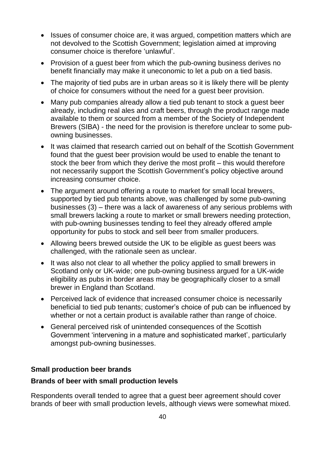- Issues of consumer choice are, it was argued, competition matters which are not devolved to the Scottish Government; legislation aimed at improving consumer choice is therefore 'unlawful'.
- Provision of a guest beer from which the pub-owning business derives no benefit financially may make it uneconomic to let a pub on a tied basis.
- The majority of tied pubs are in urban areas so it is likely there will be plenty of choice for consumers without the need for a guest beer provision.
- Many pub companies already allow a tied pub tenant to stock a guest beer already, including real ales and craft beers, through the product range made available to them or sourced from a member of the Society of Independent Brewers (SIBA) - the need for the provision is therefore unclear to some pubowning businesses.
- It was claimed that research carried out on behalf of the Scottish Government found that the guest beer provision would be used to enable the tenant to stock the beer from which they derive the most profit – this would therefore not necessarily support the Scottish Government's policy objective around increasing consumer choice.
- The argument around offering a route to market for small local brewers, supported by tied pub tenants above, was challenged by some pub-owning businesses (3) – there was a lack of awareness of any serious problems with small brewers lacking a route to market or small brewers needing protection, with pub-owning businesses tending to feel they already offered ample opportunity for pubs to stock and sell beer from smaller producers.
- Allowing beers brewed outside the UK to be eligible as guest beers was challenged, with the rationale seen as unclear.
- It was also not clear to all whether the policy applied to small brewers in Scotland only or UK-wide; one pub-owning business argued for a UK-wide eligibility as pubs in border areas may be geographically closer to a small brewer in England than Scotland.
- Perceived lack of evidence that increased consumer choice is necessarily beneficial to tied pub tenants; customer's choice of pub can be influenced by whether or not a certain product is available rather than range of choice.
- General perceived risk of unintended consequences of the Scottish Government 'intervening in a mature and sophisticated market', particularly amongst pub-owning businesses.

#### <span id="page-40-0"></span>**Small production beer brands**

#### **Brands of beer with small production levels**

Respondents overall tended to agree that a guest beer agreement should cover brands of beer with small production levels, although views were somewhat mixed.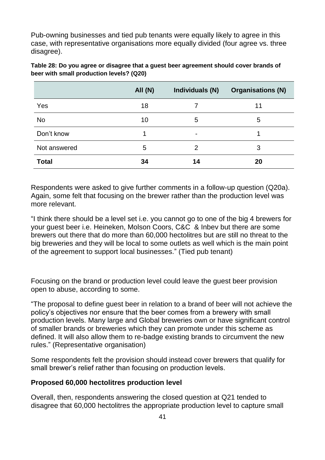Pub-owning businesses and tied pub tenants were equally likely to agree in this case, with representative organisations more equally divided (four agree vs. three disagree).

|              | All (N) | Individuals (N) | <b>Organisations (N)</b> |
|--------------|---------|-----------------|--------------------------|
| Yes          | 18      | 7               | 11                       |
| <b>No</b>    | 10      | 5               | 5                        |
| Don't know   | 1       | $\blacksquare$  |                          |
| Not answered | 5       | 2               | 3                        |
| <b>Total</b> | 34      | 14              | 20                       |

| Table 28: Do you agree or disagree that a guest beer agreement should cover brands of |
|---------------------------------------------------------------------------------------|
| beer with small production levels? (Q20)                                              |

Respondents were asked to give further comments in a follow-up question (Q20a). Again, some felt that focusing on the brewer rather than the production level was more relevant.

"I think there should be a level set i.e. you cannot go to one of the big 4 brewers for your guest beer i.e. Heineken, Molson Coors, C&C & Inbev but there are some brewers out there that do more than 60,000 hectolitres but are still no threat to the big breweries and they will be local to some outlets as well which is the main point of the agreement to support local businesses." (Tied pub tenant)

Focusing on the brand or production level could leave the guest beer provision open to abuse, according to some.

"The proposal to define guest beer in relation to a brand of beer will not achieve the policy's objectives nor ensure that the beer comes from a brewery with small production levels. Many large and Global breweries own or have significant control of smaller brands or breweries which they can promote under this scheme as defined. It will also allow them to re-badge existing brands to circumvent the new rules." (Representative organisation)

Some respondents felt the provision should instead cover brewers that qualify for small brewer's relief rather than focusing on production levels.

#### **Proposed 60,000 hectolitres production level**

Overall, then, respondents answering the closed question at Q21 tended to disagree that 60,000 hectolitres the appropriate production level to capture small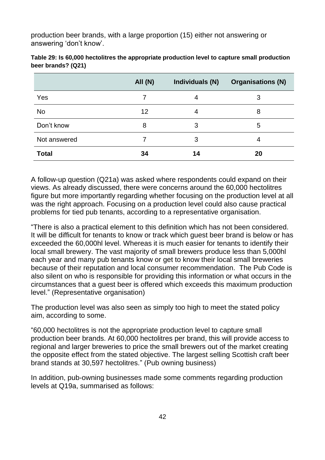production beer brands, with a large proportion (15) either not answering or answering 'don't know'.

|              | All (N) | Individuals (N) | <b>Organisations (N)</b> |
|--------------|---------|-----------------|--------------------------|
| Yes          |         | 4               | 3                        |
| No           | 12      | 4               | 8                        |
| Don't know   | 8       | 3               | 5                        |
| Not answered |         | 3               | 4                        |
| <b>Total</b> | 34      | 14              | 20                       |

| Table 29: Is 60,000 hectolitres the appropriate production level to capture small production |
|----------------------------------------------------------------------------------------------|
| beer brands? (Q21)                                                                           |

A follow-up question (Q21a) was asked where respondents could expand on their views. As already discussed, there were concerns around the 60,000 hectolitres figure but more importantly regarding whether focusing on the production level at all was the right approach. Focusing on a production level could also cause practical problems for tied pub tenants, according to a representative organisation.

"There is also a practical element to this definition which has not been considered. It will be difficult for tenants to know or track which guest beer brand is below or has exceeded the 60,000hl level. Whereas it is much easier for tenants to identify their local small brewery. The vast majority of small brewers produce less than 5,000hl each year and many pub tenants know or get to know their local small breweries because of their reputation and local consumer recommendation. The Pub Code is also silent on who is responsible for providing this information or what occurs in the circumstances that a guest beer is offered which exceeds this maximum production level." (Representative organisation)

The production level was also seen as simply too high to meet the stated policy aim, according to some.

"60,000 hectolitres is not the appropriate production level to capture small production beer brands. At 60,000 hectolitres per brand, this will provide access to regional and larger breweries to price the small brewers out of the market creating the opposite effect from the stated objective. The largest selling Scottish craft beer brand stands at 30,597 hectolitres." (Pub owning business)

In addition, pub-owning businesses made some comments regarding production levels at Q19a, summarised as follows: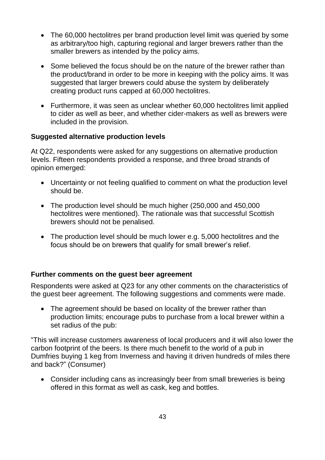- The 60,000 hectolitres per brand production level limit was queried by some as arbitrary/too high, capturing regional and larger brewers rather than the smaller brewers as intended by the policy aims.
- Some believed the focus should be on the nature of the brewer rather than the product/brand in order to be more in keeping with the policy aims. It was suggested that larger brewers could abuse the system by deliberately creating product runs capped at 60,000 hectolitres.
- Furthermore, it was seen as unclear whether 60,000 hectolitres limit applied to cider as well as beer, and whether cider-makers as well as brewers were included in the provision.

#### **Suggested alternative production levels**

At Q22, respondents were asked for any suggestions on alternative production levels. Fifteen respondents provided a response, and three broad strands of opinion emerged:

- Uncertainty or not feeling qualified to comment on what the production level should be.
- The production level should be much higher (250,000 and 450,000 hectolitres were mentioned). The rationale was that successful Scottish brewers should not be penalised.
- The production level should be much lower e.g. 5,000 hectolitres and the focus should be on brewers that qualify for small brewer's relief.

#### <span id="page-43-0"></span>**Further comments on the guest beer agreement**

Respondents were asked at Q23 for any other comments on the characteristics of the guest beer agreement. The following suggestions and comments were made.

• The agreement should be based on locality of the brewer rather than production limits; encourage pubs to purchase from a local brewer within a set radius of the pub:

"This will increase customers awareness of local producers and it will also lower the carbon footprint of the beers. Is there much benefit to the world of a pub in Dumfries buying 1 keg from Inverness and having it driven hundreds of miles there and back?" (Consumer)

• Consider including cans as increasingly beer from small breweries is being offered in this format as well as cask, keg and bottles.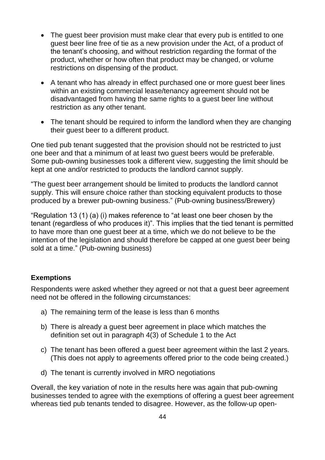- The guest beer provision must make clear that every pub is entitled to one guest beer line free of tie as a new provision under the Act, of a product of the tenant's choosing, and without restriction regarding the format of the product, whether or how often that product may be changed, or volume restrictions on dispensing of the product.
- A tenant who has already in effect purchased one or more guest beer lines within an existing commercial lease/tenancy agreement should not be disadvantaged from having the same rights to a guest beer line without restriction as any other tenant.
- The tenant should be required to inform the landlord when they are changing their guest beer to a different product.

One tied pub tenant suggested that the provision should not be restricted to just one beer and that a minimum of at least two guest beers would be preferable. Some pub-owning businesses took a different view, suggesting the limit should be kept at one and/or restricted to products the landlord cannot supply.

"The guest beer arrangement should be limited to products the landlord cannot supply. This will ensure choice rather than stocking equivalent products to those produced by a brewer pub-owning business." (Pub-owning business/Brewery)

"Regulation 13 (1) (a) (i) makes reference to "at least one beer chosen by the tenant (regardless of who produces it)". This implies that the tied tenant is permitted to have more than one guest beer at a time, which we do not believe to be the intention of the legislation and should therefore be capped at one guest beer being sold at a time." (Pub-owning business)

#### <span id="page-44-0"></span>**Exemptions**

Respondents were asked whether they agreed or not that a guest beer agreement need not be offered in the following circumstances:

- a) The remaining term of the lease is less than 6 months
- b) There is already a guest beer agreement in place which matches the definition set out in paragraph 4(3) of Schedule 1 to the Act
- c) The tenant has been offered a guest beer agreement within the last 2 years. (This does not apply to agreements offered prior to the code being created.)
- d) The tenant is currently involved in MRO negotiations

Overall, the key variation of note in the results here was again that pub-owning businesses tended to agree with the exemptions of offering a guest beer agreement whereas tied pub tenants tended to disagree. However, as the follow-up open-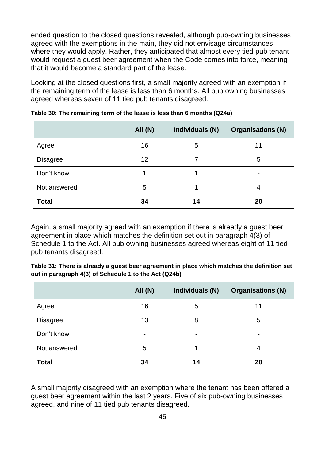ended question to the closed questions revealed, although pub-owning businesses agreed with the exemptions in the main, they did not envisage circumstances where they would apply. Rather, they anticipated that almost every tied pub tenant would request a guest beer agreement when the Code comes into force, meaning that it would become a standard part of the lease.

Looking at the closed questions first, a small majority agreed with an exemption if the remaining term of the lease is less than 6 months. All pub owning businesses agreed whereas seven of 11 tied pub tenants disagreed.

|                 | <b>All (N)</b> | Individuals (N) | <b>Organisations (N)</b> |
|-----------------|----------------|-----------------|--------------------------|
| Agree           | 16             | 5               | 11                       |
| <b>Disagree</b> | 12             |                 | 5                        |
| Don't know      |                |                 | -                        |
| Not answered    | 5              | 1               | 4                        |
| <b>Total</b>    | 34             | 14              | 20                       |

**Table 30: The remaining term of the lease is less than 6 months (Q24a)**

Again, a small majority agreed with an exemption if there is already a guest beer agreement in place which matches the definition set out in paragraph 4(3) of Schedule 1 to the Act. All pub owning businesses agreed whereas eight of 11 tied pub tenants disagreed.

| Table 31: There is already a guest beer agreement in place which matches the definition set |
|---------------------------------------------------------------------------------------------|
| out in paragraph 4(3) of Schedule 1 to the Act (Q24b)                                       |

|                 | All (N) | Individuals (N)          | <b>Organisations (N)</b> |
|-----------------|---------|--------------------------|--------------------------|
| Agree           | 16      | 5                        | 11                       |
| <b>Disagree</b> | 13      | 8                        | 5                        |
| Don't know      |         | $\overline{\phantom{0}}$ | $\overline{\phantom{a}}$ |
| Not answered    | 5       |                          | 4                        |
| <b>Total</b>    | 34      | 14                       | 20                       |

A small majority disagreed with an exemption where the tenant has been offered a guest beer agreement within the last 2 years. Five of six pub-owning businesses agreed, and nine of 11 tied pub tenants disagreed.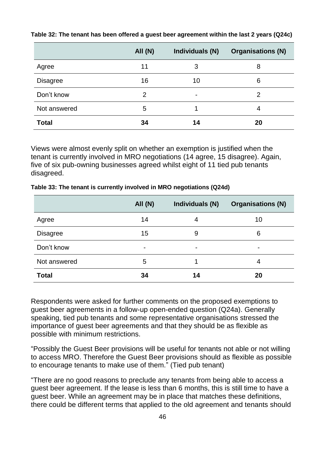|                 | <b>All (N)</b> | Individuals (N)          | <b>Organisations (N)</b> |
|-----------------|----------------|--------------------------|--------------------------|
| Agree           | 11             | 3                        | 8                        |
| <b>Disagree</b> | 16             | 10                       | 6                        |
| Don't know      | 2              | $\overline{\phantom{0}}$ | $\overline{2}$           |
| Not answered    | 5              |                          | 4                        |
| <b>Total</b>    | 34             | 14                       | 20                       |

**Table 32: The tenant has been offered a guest beer agreement within the last 2 years (Q24c)**

Views were almost evenly split on whether an exemption is justified when the tenant is currently involved in MRO negotiations (14 agree, 15 disagree). Again, five of six pub-owning businesses agreed whilst eight of 11 tied pub tenants disagreed.

|                 | All (N) | Individuals (N) | <b>Organisations (N)</b> |
|-----------------|---------|-----------------|--------------------------|
| Agree           | 14      | 4               | 10                       |
| <b>Disagree</b> | 15      | 9               | 6                        |
| Don't know      | -       | $\blacksquare$  | $\overline{\phantom{a}}$ |
| Not answered    | 5       |                 | 4                        |
| <b>Total</b>    | 34      | 14              | 20                       |

**Table 33: The tenant is currently involved in MRO negotiations (Q24d)**

Respondents were asked for further comments on the proposed exemptions to guest beer agreements in a follow-up open-ended question (Q24a). Generally speaking, tied pub tenants and some representative organisations stressed the importance of guest beer agreements and that they should be as flexible as possible with minimum restrictions.

"Possibly the Guest Beer provisions will be useful for tenants not able or not willing to access MRO. Therefore the Guest Beer provisions should as flexible as possible to encourage tenants to make use of them." (Tied pub tenant)

"There are no good reasons to preclude any tenants from being able to access a guest beer agreement. If the lease is less than 6 months, this is still time to have a guest beer. While an agreement may be in place that matches these definitions, there could be different terms that applied to the old agreement and tenants should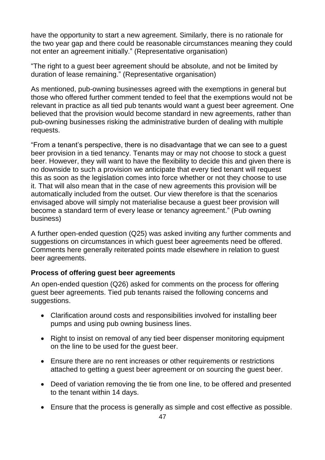have the opportunity to start a new agreement. Similarly, there is no rationale for the two year gap and there could be reasonable circumstances meaning they could not enter an agreement initially." (Representative organisation)

"The right to a guest beer agreement should be absolute, and not be limited by duration of lease remaining." (Representative organisation)

As mentioned, pub-owning businesses agreed with the exemptions in general but those who offered further comment tended to feel that the exemptions would not be relevant in practice as all tied pub tenants would want a guest beer agreement. One believed that the provision would become standard in new agreements, rather than pub-owning businesses risking the administrative burden of dealing with multiple requests.

"From a tenant's perspective, there is no disadvantage that we can see to a guest beer provision in a tied tenancy. Tenants may or may not choose to stock a guest beer. However, they will want to have the flexibility to decide this and given there is no downside to such a provision we anticipate that every tied tenant will request this as soon as the legislation comes into force whether or not they choose to use it. That will also mean that in the case of new agreements this provision will be automatically included from the outset. Our view therefore is that the scenarios envisaged above will simply not materialise because a guest beer provision will become a standard term of every lease or tenancy agreement." (Pub owning business)

A further open-ended question (Q25) was asked inviting any further comments and suggestions on circumstances in which guest beer agreements need be offered. Comments here generally reiterated points made elsewhere in relation to guest beer agreements.

#### <span id="page-47-0"></span>**Process of offering guest beer agreements**

An open-ended question (Q26) asked for comments on the process for offering guest beer agreements. Tied pub tenants raised the following concerns and suggestions.

- Clarification around costs and responsibilities involved for installing beer pumps and using pub owning business lines.
- Right to insist on removal of any tied beer dispenser monitoring equipment on the line to be used for the guest beer.
- Ensure there are no rent increases or other requirements or restrictions attached to getting a guest beer agreement or on sourcing the guest beer.
- Deed of variation removing the tie from one line, to be offered and presented to the tenant within 14 days.
- Ensure that the process is generally as simple and cost effective as possible.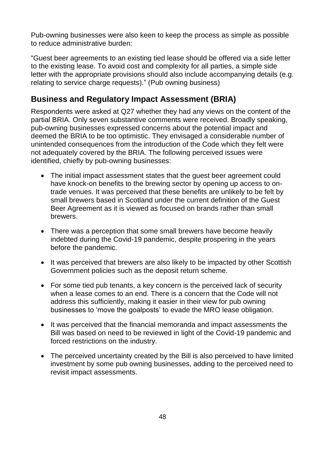Pub-owning businesses were also keen to keep the process as simple as possible to reduce administrative burden:

"Guest beer agreements to an existing tied lease should be offered via a side letter to the existing lease. To avoid cost and complexity for all parties, a simple side letter with the appropriate provisions should also include accompanying details (e.g. relating to service charge requests)." (Pub owning business)

### <span id="page-48-0"></span>**Business and Regulatory Impact Assessment (BRIA)**

Respondents were asked at Q27 whether they had any views on the content of the partial BRIA. Only seven substantive comments were received. Broadly speaking, pub-owning businesses expressed concerns about the potential impact and deemed the BRIA to be too optimistic. They envisaged a considerable number of unintended consequences from the introduction of the Code which they felt were not adequately covered by the BRIA. The following perceived issues were identified, chiefly by pub-owning businesses:

- The initial impact assessment states that the guest beer agreement could have knock-on benefits to the brewing sector by opening up access to ontrade venues. It was perceived that these benefits are unlikely to be felt by small brewers based in Scotland under the current definition of the Guest Beer Agreement as it is viewed as focused on brands rather than small brewers.
- There was a perception that some small brewers have become heavily indebted during the Covid-19 pandemic, despite prospering in the years before the pandemic.
- It was perceived that brewers are also likely to be impacted by other Scottish Government policies such as the deposit return scheme.
- For some tied pub tenants, a key concern is the perceived lack of security when a lease comes to an end. There is a concern that the Code will not address this sufficiently, making it easier in their view for pub owning businesses to 'move the goalposts' to evade the MRO lease obligation.
- It was perceived that the financial memoranda and impact assessments the Bill was based on need to be reviewed in light of the Covid-19 pandemic and forced restrictions on the industry.
- The perceived uncertainty created by the Bill is also perceived to have limited investment by some pub owning businesses, adding to the perceived need to revisit impact assessments.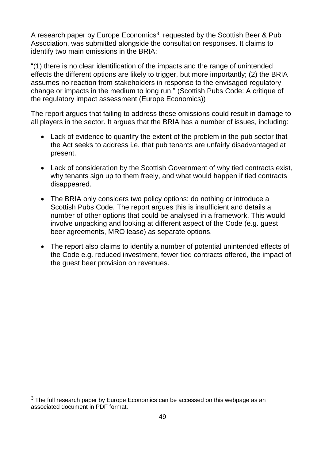A research paper by Europe Economics<sup>3</sup>, requested by the Scottish Beer & Pub Association, was submitted alongside the consultation responses. It claims to identify two main omissions in the BRIA:

"(1) there is no clear identification of the impacts and the range of unintended effects the different options are likely to trigger, but more importantly; (2) the BRIA assumes no reaction from stakeholders in response to the envisaged regulatory change or impacts in the medium to long run." (Scottish Pubs Code: A critique of the regulatory impact assessment (Europe Economics))

The report argues that failing to address these omissions could result in damage to all players in the sector. It argues that the BRIA has a number of issues, including:

- Lack of evidence to quantify the extent of the problem in the pub sector that the Act seeks to address i.e. that pub tenants are unfairly disadvantaged at present.
- Lack of consideration by the Scottish Government of why tied contracts exist, why tenants sign up to them freely, and what would happen if tied contracts disappeared.
- The BRIA only considers two policy options: do nothing or introduce a Scottish Pubs Code. The report argues this is insufficient and details a number of other options that could be analysed in a framework. This would involve unpacking and looking at different aspect of the Code (e.g. guest beer agreements, MRO lease) as separate options.
- The report also claims to identify a number of potential unintended effects of the Code e.g. reduced investment, fewer tied contracts offered, the impact of the guest beer provision on revenues.

 $\overline{a}$  $3$  The full research paper by Europe Economics can be accessed on this webpage as an associated document in PDF format.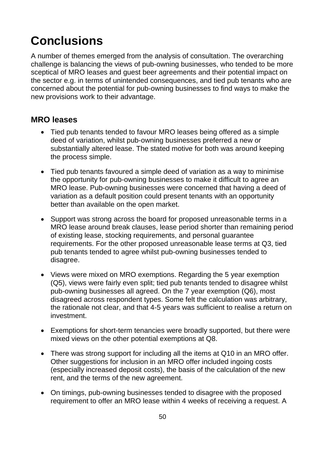# <span id="page-50-0"></span>**Conclusions**

A number of themes emerged from the analysis of consultation. The overarching challenge is balancing the views of pub-owning businesses, who tended to be more sceptical of MRO leases and guest beer agreements and their potential impact on the sector e.g. in terms of unintended consequences, and tied pub tenants who are concerned about the potential for pub-owning businesses to find ways to make the new provisions work to their advantage.

#### <span id="page-50-1"></span>**MRO leases**

- Tied pub tenants tended to favour MRO leases being offered as a simple deed of variation, whilst pub-owning businesses preferred a new or substantially altered lease. The stated motive for both was around keeping the process simple.
- Tied pub tenants favoured a simple deed of variation as a way to minimise the opportunity for pub-owning businesses to make it difficult to agree an MRO lease. Pub-owning businesses were concerned that having a deed of variation as a default position could present tenants with an opportunity better than available on the open market.
- Support was strong across the board for proposed unreasonable terms in a MRO lease around break clauses, lease period shorter than remaining period of existing lease, stocking requirements, and personal guarantee requirements. For the other proposed unreasonable lease terms at Q3, tied pub tenants tended to agree whilst pub-owning businesses tended to disagree.
- Views were mixed on MRO exemptions. Regarding the 5 year exemption (Q5), views were fairly even split; tied pub tenants tended to disagree whilst pub-owning businesses all agreed. On the 7 year exemption (Q6), most disagreed across respondent types. Some felt the calculation was arbitrary, the rationale not clear, and that 4-5 years was sufficient to realise a return on investment.
- Exemptions for short-term tenancies were broadly supported, but there were mixed views on the other potential exemptions at Q8.
- There was strong support for including all the items at Q10 in an MRO offer. Other suggestions for inclusion in an MRO offer included ingoing costs (especially increased deposit costs), the basis of the calculation of the new rent, and the terms of the new agreement.
- On timings, pub-owning businesses tended to disagree with the proposed requirement to offer an MRO lease within 4 weeks of receiving a request. A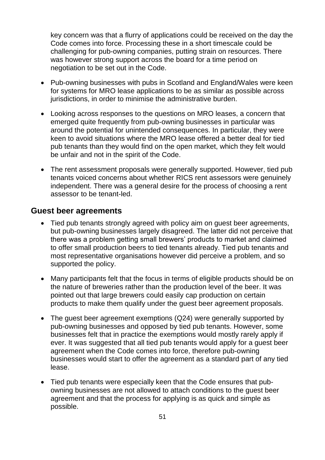key concern was that a flurry of applications could be received on the day the Code comes into force. Processing these in a short timescale could be challenging for pub-owning companies, putting strain on resources. There was however strong support across the board for a time period on negotiation to be set out in the Code.

- Pub-owning businesses with pubs in Scotland and England/Wales were keen for systems for MRO lease applications to be as similar as possible across jurisdictions, in order to minimise the administrative burden.
- Looking across responses to the questions on MRO leases, a concern that emerged quite frequently from pub-owning businesses in particular was around the potential for unintended consequences. In particular, they were keen to avoid situations where the MRO lease offered a better deal for tied pub tenants than they would find on the open market, which they felt would be unfair and not in the spirit of the Code.
- The rent assessment proposals were generally supported. However, tied pub tenants voiced concerns about whether RICS rent assessors were genuinely independent. There was a general desire for the process of choosing a rent assessor to be tenant-led.

#### <span id="page-51-0"></span>**Guest beer agreements**

- Tied pub tenants strongly agreed with policy aim on guest beer agreements, but pub-owning businesses largely disagreed. The latter did not perceive that there was a problem getting small brewers' products to market and claimed to offer small production beers to tied tenants already. Tied pub tenants and most representative organisations however did perceive a problem, and so supported the policy.
- Many participants felt that the focus in terms of eligible products should be on the nature of breweries rather than the production level of the beer. It was pointed out that large brewers could easily cap production on certain products to make them qualify under the guest beer agreement proposals.
- The guest beer agreement exemptions (Q24) were generally supported by pub-owning businesses and opposed by tied pub tenants. However, some businesses felt that in practice the exemptions would mostly rarely apply if ever. It was suggested that all tied pub tenants would apply for a guest beer agreement when the Code comes into force, therefore pub-owning businesses would start to offer the agreement as a standard part of any tied lease.
- Tied pub tenants were especially keen that the Code ensures that pubowning businesses are not allowed to attach conditions to the guest beer agreement and that the process for applying is as quick and simple as possible.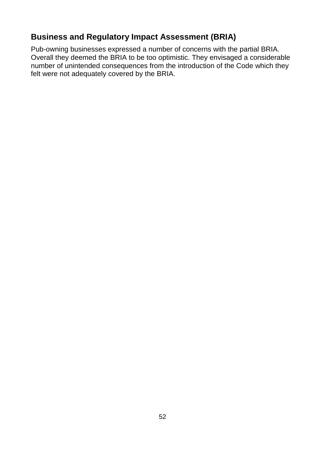# <span id="page-52-0"></span>**Business and Regulatory Impact Assessment (BRIA)**

Pub-owning businesses expressed a number of concerns with the partial BRIA. Overall they deemed the BRIA to be too optimistic. They envisaged a considerable number of unintended consequences from the introduction of the Code which they felt were not adequately covered by the BRIA.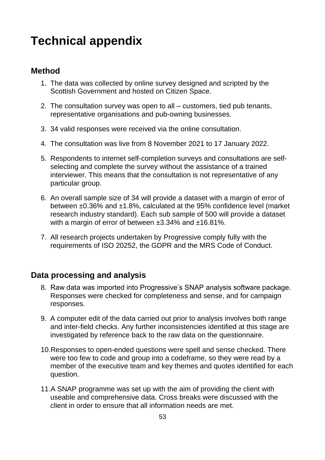# <span id="page-53-0"></span>**Technical appendix**

#### <span id="page-53-1"></span>**Method**

- 1. The data was collected by online survey designed and scripted by the Scottish Government and hosted on Citizen Space.
- 2. The consultation survey was open to all customers, tied pub tenants, representative organisations and pub-owning businesses.
- 3. 34 valid responses were received via the online consultation.
- 4. The consultation was live from 8 November 2021 to 17 January 2022.
- 5. Respondents to internet self-completion surveys and consultations are selfselecting and complete the survey without the assistance of a trained interviewer. This means that the consultation is not representative of any particular group.
- 6. An overall sample size of 34 will provide a dataset with a margin of error of between ±0.36% and ±1.8%, calculated at the 95% confidence level (market research industry standard). Each sub sample of 500 will provide a dataset with a margin of error of between ±3.34% and ±16.81%.
- 7. All research projects undertaken by Progressive comply fully with the requirements of ISO 20252, the GDPR and the MRS Code of Conduct.

#### <span id="page-53-2"></span>**Data processing and analysis**

- 8. Raw data was imported into Progressive's SNAP analysis software package. Responses were checked for completeness and sense, and for campaign responses.
- 9. A computer edit of the data carried out prior to analysis involves both range and inter-field checks. Any further inconsistencies identified at this stage are investigated by reference back to the raw data on the questionnaire.
- 10.Responses to open-ended questions were spell and sense checked. There were too few to code and group into a codeframe, so they were read by a member of the executive team and key themes and quotes identified for each question.
- 11.A SNAP programme was set up with the aim of providing the client with useable and comprehensive data. Cross breaks were discussed with the client in order to ensure that all information needs are met.